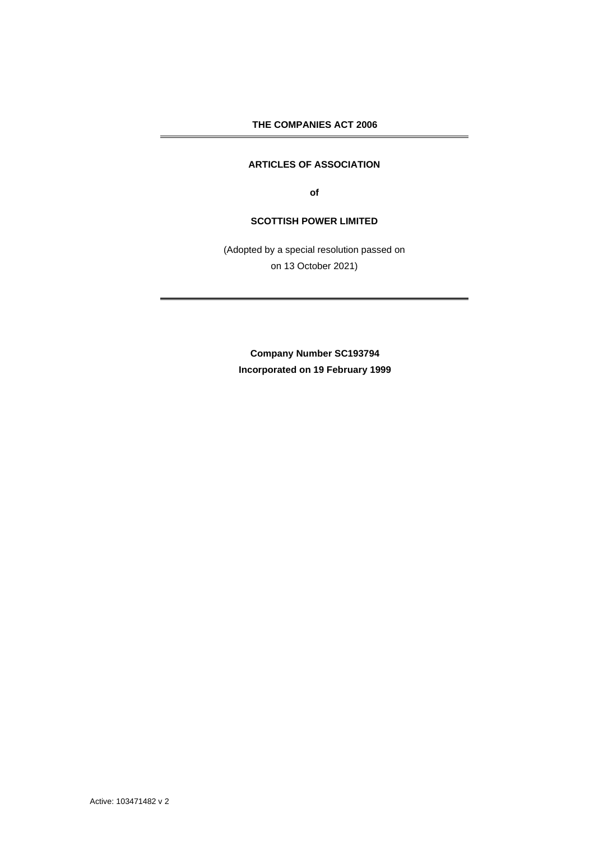**THE COMPANIES ACT 2006**

# **ARTICLES OF ASSOCIATION**

**of** 

# **SCOTTISH POWER LIMITED**

(Adopted by a special resolution passed on on 13 October 2021)

**Company Number SC193794 Incorporated on 19 February 1999**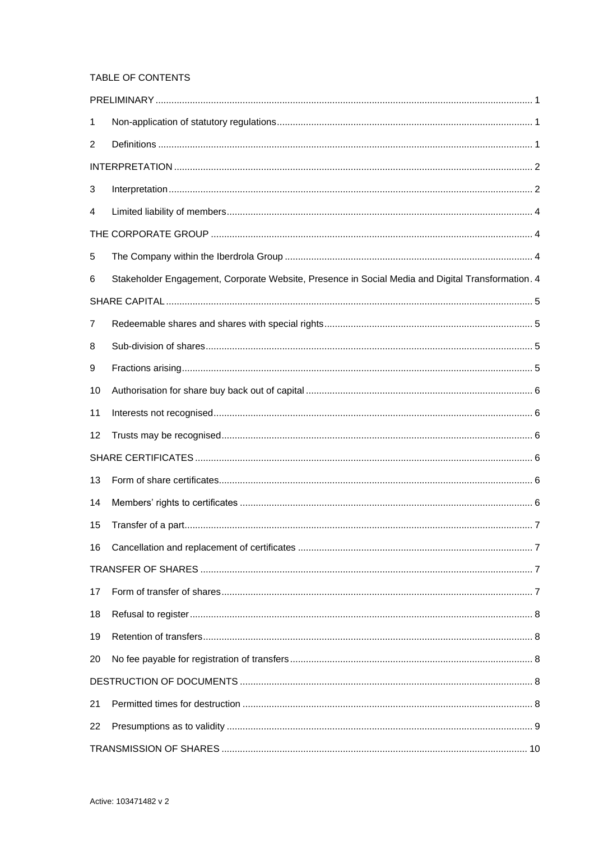# TABLE OF CONTENTS

| 1  |                                                                                                   |  |
|----|---------------------------------------------------------------------------------------------------|--|
| 2  |                                                                                                   |  |
|    |                                                                                                   |  |
| 3  |                                                                                                   |  |
| 4  |                                                                                                   |  |
|    |                                                                                                   |  |
| 5  |                                                                                                   |  |
| 6  | Stakeholder Engagement, Corporate Website, Presence in Social Media and Digital Transformation. 4 |  |
|    |                                                                                                   |  |
| 7  |                                                                                                   |  |
| 8  |                                                                                                   |  |
| 9  |                                                                                                   |  |
| 10 |                                                                                                   |  |
| 11 |                                                                                                   |  |
| 12 |                                                                                                   |  |
|    |                                                                                                   |  |
| 13 |                                                                                                   |  |
| 14 |                                                                                                   |  |
| 15 |                                                                                                   |  |
| 16 |                                                                                                   |  |
|    |                                                                                                   |  |
| 17 |                                                                                                   |  |
| 18 |                                                                                                   |  |
| 19 |                                                                                                   |  |
| 20 |                                                                                                   |  |
|    |                                                                                                   |  |
| 21 |                                                                                                   |  |
| 22 |                                                                                                   |  |
|    |                                                                                                   |  |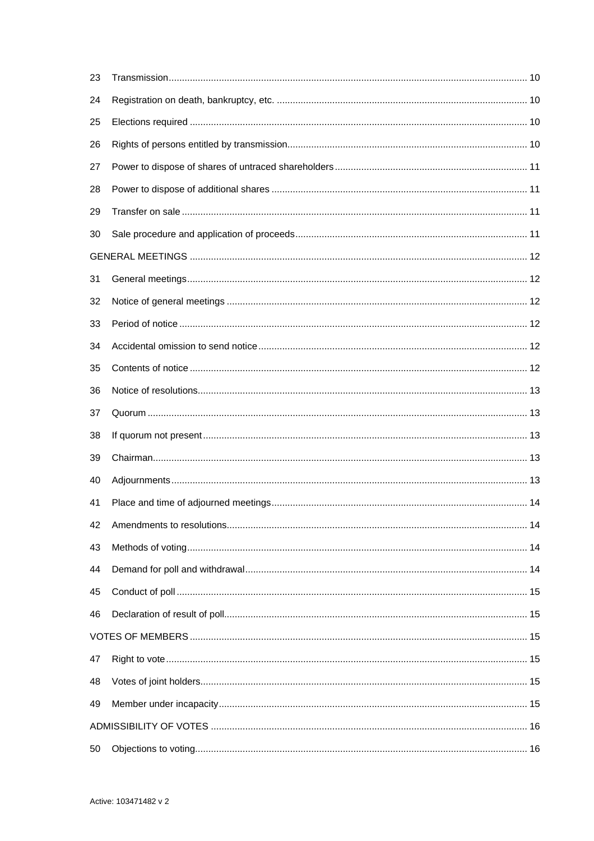| 23 |  |
|----|--|
| 24 |  |
| 25 |  |
| 26 |  |
| 27 |  |
| 28 |  |
| 29 |  |
| 30 |  |
|    |  |
| 31 |  |
| 32 |  |
| 33 |  |
| 34 |  |
| 35 |  |
| 36 |  |
| 37 |  |
| 38 |  |
| 39 |  |
| 40 |  |
| 41 |  |
| 42 |  |
| 43 |  |
| 44 |  |
| 45 |  |
| 46 |  |
|    |  |
| 47 |  |
| 48 |  |
| 49 |  |
|    |  |
| 50 |  |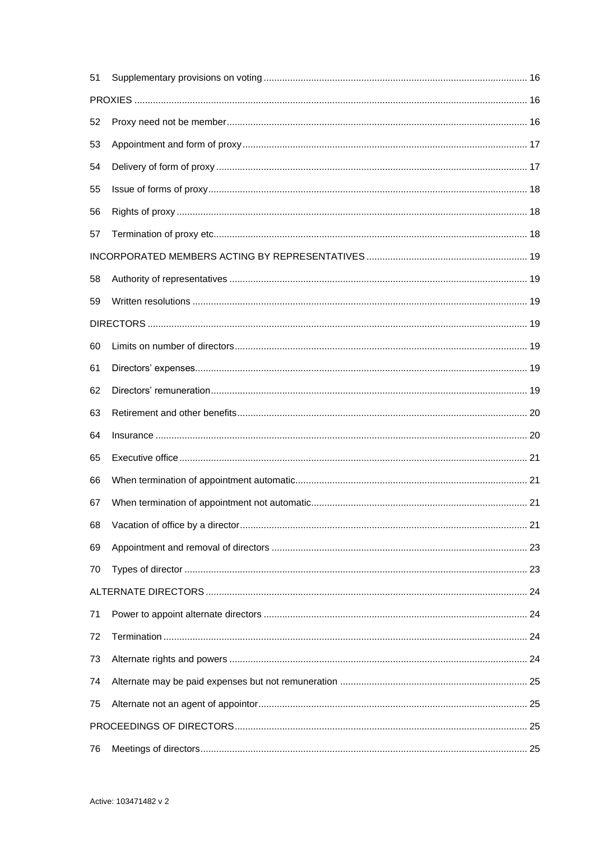| 51 |  |  |
|----|--|--|
|    |  |  |
| 52 |  |  |
| 53 |  |  |
| 54 |  |  |
| 55 |  |  |
| 56 |  |  |
| 57 |  |  |
|    |  |  |
| 58 |  |  |
| 59 |  |  |
|    |  |  |
| 60 |  |  |
| 61 |  |  |
| 62 |  |  |
| 63 |  |  |
| 64 |  |  |
| 65 |  |  |
| 66 |  |  |
| 67 |  |  |
| 68 |  |  |
| 69 |  |  |
| 70 |  |  |
|    |  |  |
| 71 |  |  |
| 72 |  |  |
| 73 |  |  |
| 74 |  |  |
| 75 |  |  |
|    |  |  |
| 76 |  |  |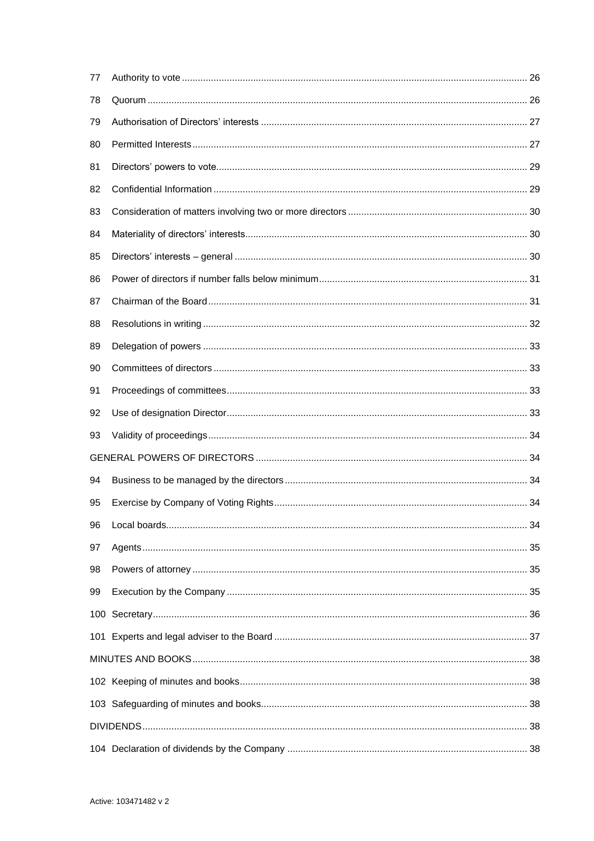| 77 |  |
|----|--|
| 78 |  |
| 79 |  |
| 80 |  |
| 81 |  |
| 82 |  |
| 83 |  |
| 84 |  |
| 85 |  |
| 86 |  |
| 87 |  |
| 88 |  |
| 89 |  |
| 90 |  |
| 91 |  |
| 92 |  |
| 93 |  |
|    |  |
| 94 |  |
| 95 |  |
| 96 |  |
| 97 |  |
| 98 |  |
| 99 |  |
|    |  |
|    |  |
|    |  |
|    |  |
|    |  |
|    |  |
|    |  |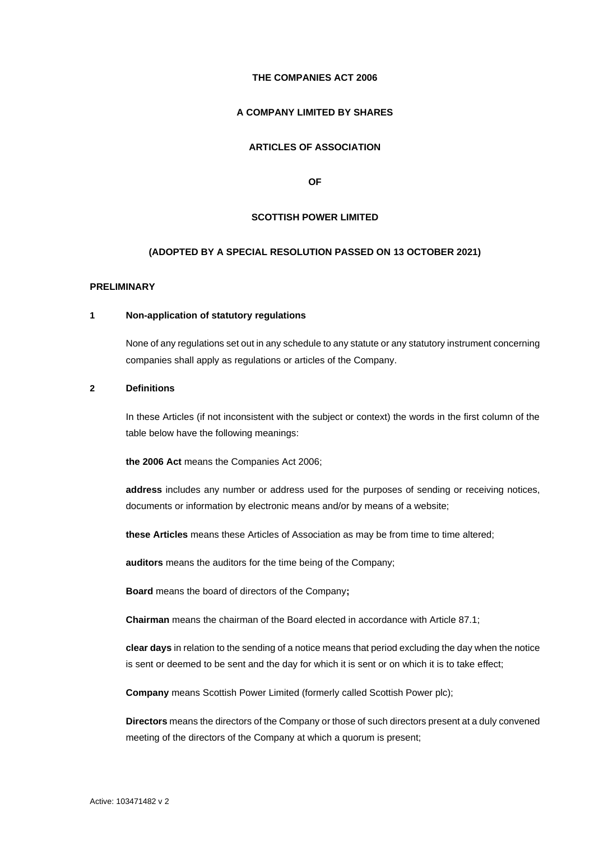## **THE COMPANIES ACT 2006**

# **A COMPANY LIMITED BY SHARES**

# **ARTICLES OF ASSOCIATION**

**OF**

### **SCOTTISH POWER LIMITED**

#### **(ADOPTED BY A SPECIAL RESOLUTION PASSED ON 13 OCTOBER 2021)**

### <span id="page-7-0"></span>**PRELIMINARY**

### <span id="page-7-1"></span>**1 Non-application of statutory regulations**

None of any regulations set out in any schedule to any statute or any statutory instrument concerning companies shall apply as regulations or articles of the Company.

# <span id="page-7-2"></span>**2 Definitions**

In these Articles (if not inconsistent with the subject or context) the words in the first column of the table below have the following meanings:

**the 2006 Act** means the Companies Act 2006;

**address** includes any number or address used for the purposes of sending or receiving notices, documents or information by electronic means and/or by means of a website;

**these Articles** means these Articles of Association as may be from time to time altered;

**auditors** means the auditors for the time being of the Company;

**Board** means the board of directors of the Company**;**

**Chairman** means the chairman of the Board elected in accordance with Article [87.1;](#page-37-2)

**clear days** in relation to the sending of a notice means that period excluding the day when the notice is sent or deemed to be sent and the day for which it is sent or on which it is to take effect;

**Company** means Scottish Power Limited (formerly called Scottish Power plc);

**Directors** means the directors of the Company or those of such directors present at a duly convened meeting of the directors of the Company at which a quorum is present;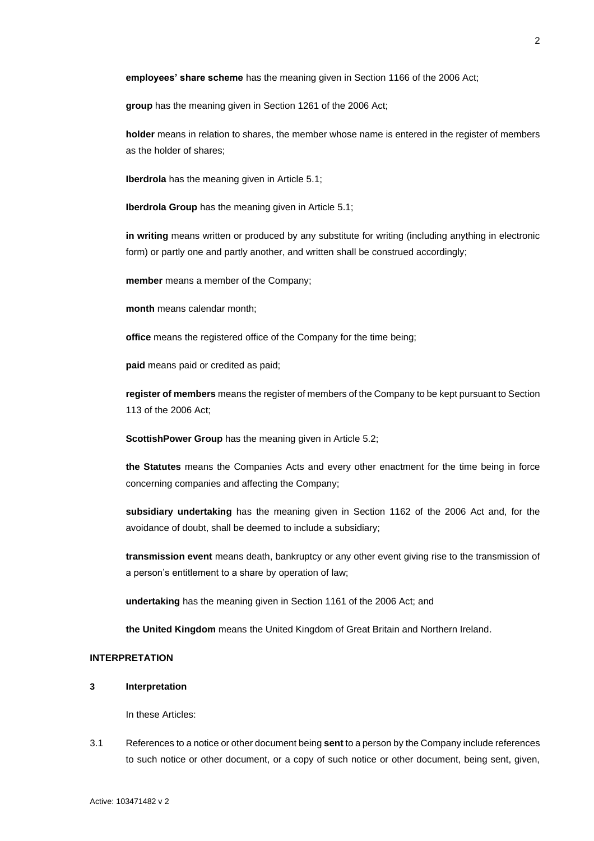**employees' share scheme** has the meaning given in Section 1166 of the 2006 Act;

**group** has the meaning given in Section 1261 of the 2006 Act;

**holder** means in relation to shares, the member whose name is entered in the register of members as the holder of shares;

**Iberdrola** has the meaning given in Article [5.1;](#page-10-4)

**Iberdrola Group** has the meaning given in Articl[e 5.1;](#page-10-4)

**in writing** means written or produced by any substitute for writing (including anything in electronic form) or partly one and partly another, and written shall be construed accordingly;

**member** means a member of the Company;

**month** means calendar month;

**office** means the registered office of the Company for the time being;

**paid** means paid or credited as paid;

**register of members** means the register of members of the Company to be kept pursuant to Section 113 of the 2006 Act;

**ScottishPower Group** has the meaning given in Article [5.2;](#page-10-5)

**the Statutes** means the Companies Acts and every other enactment for the time being in force concerning companies and affecting the Company;

**subsidiary undertaking** has the meaning given in Section 1162 of the 2006 Act and, for the avoidance of doubt, shall be deemed to include a subsidiary;

**transmission event** means death, bankruptcy or any other event giving rise to the transmission of a person's entitlement to a share by operation of law;

**undertaking** has the meaning given in Section 1161 of the 2006 Act; and

**the United Kingdom** means the United Kingdom of Great Britain and Northern Ireland.

# <span id="page-8-0"></span>**INTERPRETATION**

#### <span id="page-8-1"></span>**3 Interpretation**

In these Articles:

3.1 References to a notice or other document being **sent** to a person by the Company include references to such notice or other document, or a copy of such notice or other document, being sent, given,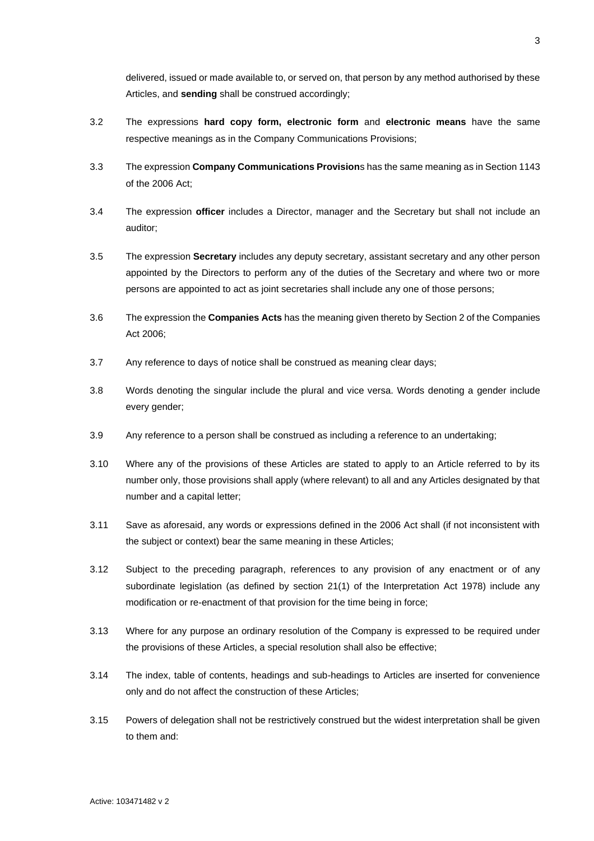delivered, issued or made available to, or served on, that person by any method authorised by these Articles, and **sending** shall be construed accordingly;

- 3.2 The expressions **hard copy form, electronic form** and **electronic means** have the same respective meanings as in the Company Communications Provisions;
- 3.3 The expression **Company Communications Provision**s has the same meaning as in Section 1143 of the 2006 Act;
- 3.4 The expression **officer** includes a Director, manager and the Secretary but shall not include an auditor;
- 3.5 The expression **Secretary** includes any deputy secretary, assistant secretary and any other person appointed by the Directors to perform any of the duties of the Secretary and where two or more persons are appointed to act as joint secretaries shall include any one of those persons;
- 3.6 The expression the **Companies Acts** has the meaning given thereto by Section 2 of the Companies Act 2006;
- 3.7 Any reference to days of notice shall be construed as meaning clear days;
- 3.8 Words denoting the singular include the plural and vice versa. Words denoting a gender include every gender;
- 3.9 Any reference to a person shall be construed as including a reference to an undertaking;
- 3.10 Where any of the provisions of these Articles are stated to apply to an Article referred to by its number only, those provisions shall apply (where relevant) to all and any Articles designated by that number and a capital letter;
- 3.11 Save as aforesaid, any words or expressions defined in the 2006 Act shall (if not inconsistent with the subject or context) bear the same meaning in these Articles;
- 3.12 Subject to the preceding paragraph, references to any provision of any enactment or of any subordinate legislation (as defined by section 21(1) of the Interpretation Act 1978) include any modification or re-enactment of that provision for the time being in force;
- 3.13 Where for any purpose an ordinary resolution of the Company is expressed to be required under the provisions of these Articles, a special resolution shall also be effective;
- 3.14 The index, table of contents, headings and sub-headings to Articles are inserted for convenience only and do not affect the construction of these Articles;
- 3.15 Powers of delegation shall not be restrictively construed but the widest interpretation shall be given to them and: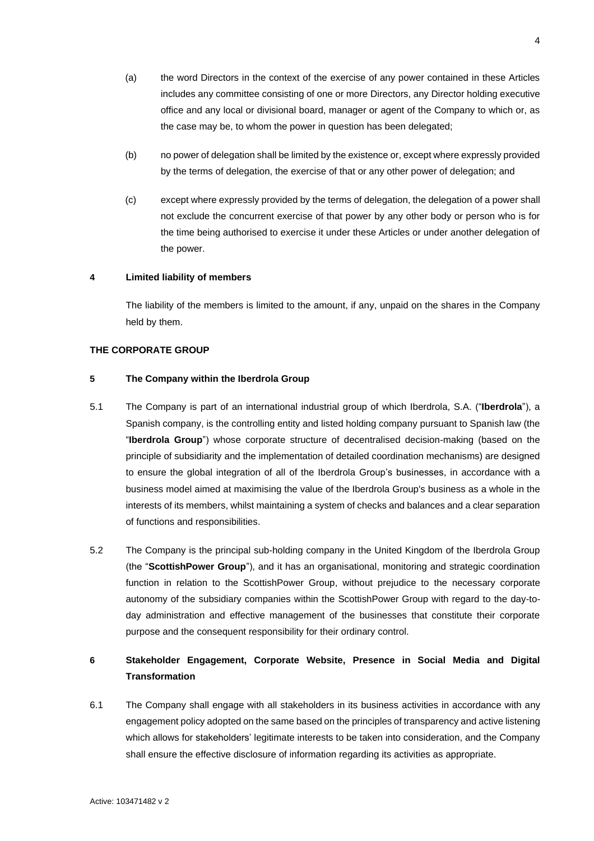- (a) the word Directors in the context of the exercise of any power contained in these Articles includes any committee consisting of one or more Directors, any Director holding executive office and any local or divisional board, manager or agent of the Company to which or, as the case may be, to whom the power in question has been delegated;
- (b) no power of delegation shall be limited by the existence or, except where expressly provided by the terms of delegation, the exercise of that or any other power of delegation; and
- (c) except where expressly provided by the terms of delegation, the delegation of a power shall not exclude the concurrent exercise of that power by any other body or person who is for the time being authorised to exercise it under these Articles or under another delegation of the power.

### <span id="page-10-0"></span>**4 Limited liability of members**

The liability of the members is limited to the amount, if any, unpaid on the shares in the Company held by them.

### <span id="page-10-1"></span>**THE CORPORATE GROUP**

# <span id="page-10-2"></span>**5 The Company within the Iberdrola Group**

- <span id="page-10-4"></span>5.1 The Company is part of an international industrial group of which Iberdrola, S.A. ("**Iberdrola**"), a Spanish company, is the controlling entity and listed holding company pursuant to Spanish law (the "**Iberdrola Group**") whose corporate structure of decentralised decision-making (based on the principle of subsidiarity and the implementation of detailed coordination mechanisms) are designed to ensure the global integration of all of the Iberdrola Group's businesses, in accordance with a business model aimed at maximising the value of the Iberdrola Group's business as a whole in the interests of its members, whilst maintaining a system of checks and balances and a clear separation of functions and responsibilities.
- <span id="page-10-5"></span>5.2 The Company is the principal sub-holding company in the United Kingdom of the Iberdrola Group (the "**ScottishPower Group**"), and it has an organisational, monitoring and strategic coordination function in relation to the ScottishPower Group, without prejudice to the necessary corporate autonomy of the subsidiary companies within the ScottishPower Group with regard to the day-today administration and effective management of the businesses that constitute their corporate purpose and the consequent responsibility for their ordinary control.

# <span id="page-10-3"></span>**6 Stakeholder Engagement, Corporate Website, Presence in Social Media and Digital Transformation**

<span id="page-10-6"></span>6.1 The Company shall engage with all stakeholders in its business activities in accordance with any engagement policy adopted on the same based on the principles of transparency and active listening which allows for stakeholders' legitimate interests to be taken into consideration, and the Company shall ensure the effective disclosure of information regarding its activities as appropriate.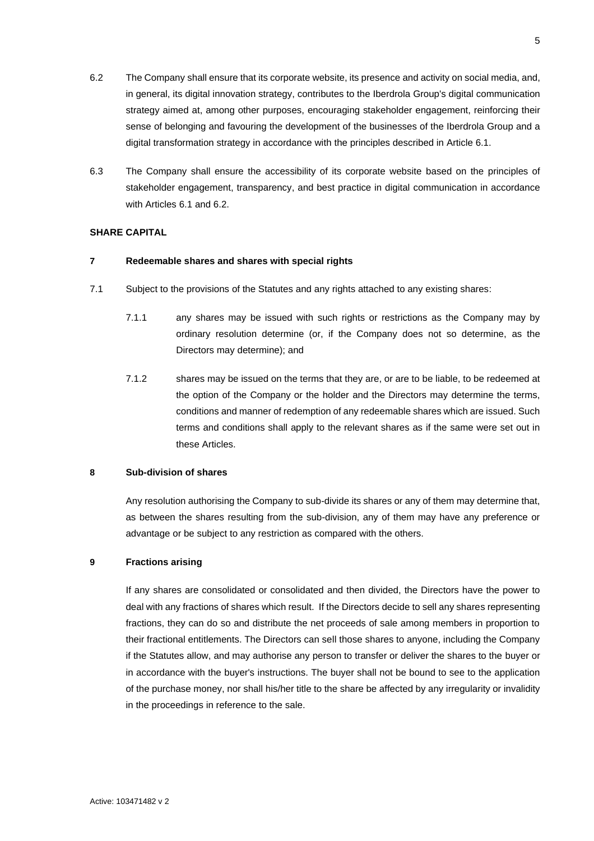- <span id="page-11-4"></span>6.2 The Company shall ensure that its corporate website, its presence and activity on social media, and, in general, its digital innovation strategy, contributes to the Iberdrola Group's digital communication strategy aimed at, among other purposes, encouraging stakeholder engagement, reinforcing their sense of belonging and favouring the development of the businesses of the Iberdrola Group and a digital transformation strategy in accordance with the principles described in Article [6.1.](#page-10-6)
- 6.3 The Company shall ensure the accessibility of its corporate website based on the principles of stakeholder engagement, transparency, and best practice in digital communication in accordance with Articles [6.1](#page-10-6) an[d 6.2.](#page-11-4)

# <span id="page-11-0"></span>**SHARE CAPITAL**

# <span id="page-11-1"></span>**7 Redeemable shares and shares with special rights**

- 7.1 Subject to the provisions of the Statutes and any rights attached to any existing shares:
	- 7.1.1 any shares may be issued with such rights or restrictions as the Company may by ordinary resolution determine (or, if the Company does not so determine, as the Directors may determine); and
	- 7.1.2 shares may be issued on the terms that they are, or are to be liable, to be redeemed at the option of the Company or the holder and the Directors may determine the terms, conditions and manner of redemption of any redeemable shares which are issued. Such terms and conditions shall apply to the relevant shares as if the same were set out in these Articles.

# <span id="page-11-2"></span>**8 Sub-division of shares**

Any resolution authorising the Company to sub-divide its shares or any of them may determine that, as between the shares resulting from the sub-division, any of them may have any preference or advantage or be subject to any restriction as compared with the others.

# <span id="page-11-3"></span>**9 Fractions arising**

If any shares are consolidated or consolidated and then divided, the Directors have the power to deal with any fractions of shares which result. If the Directors decide to sell any shares representing fractions, they can do so and distribute the net proceeds of sale among members in proportion to their fractional entitlements. The Directors can sell those shares to anyone, including the Company if the Statutes allow, and may authorise any person to transfer or deliver the shares to the buyer or in accordance with the buyer's instructions. The buyer shall not be bound to see to the application of the purchase money, nor shall his/her title to the share be affected by any irregularity or invalidity in the proceedings in reference to the sale.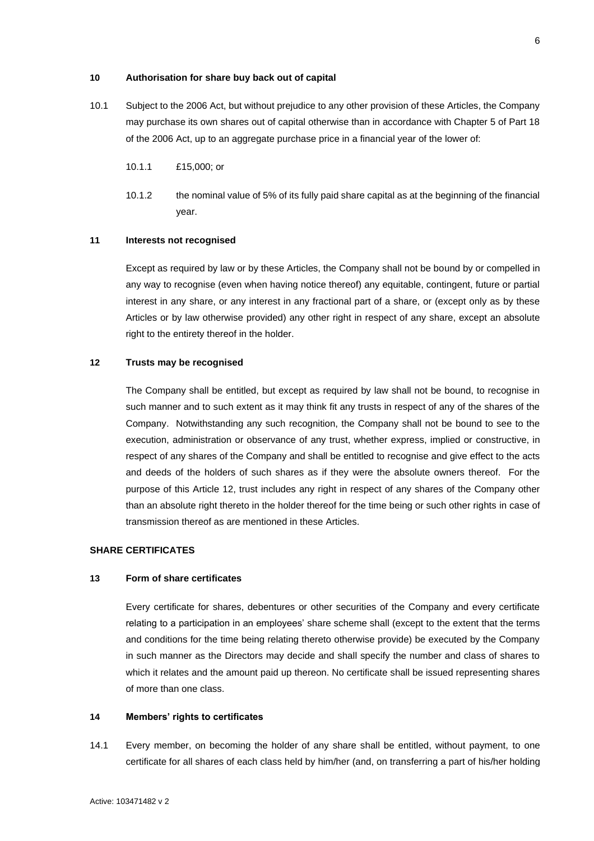# <span id="page-12-0"></span>**10 Authorisation for share buy back out of capital**

- 10.1 Subject to the 2006 Act, but without prejudice to any other provision of these Articles, the Company may purchase its own shares out of capital otherwise than in accordance with Chapter 5 of Part 18 of the 2006 Act, up to an aggregate purchase price in a financial year of the lower of:
	- 10.1.1 £15,000; or
	- 10.1.2 the nominal value of 5% of its fully paid share capital as at the beginning of the financial year.

## <span id="page-12-1"></span>**11 Interests not recognised**

Except as required by law or by these Articles, the Company shall not be bound by or compelled in any way to recognise (even when having notice thereof) any equitable, contingent, future or partial interest in any share, or any interest in any fractional part of a share, or (except only as by these Articles or by law otherwise provided) any other right in respect of any share, except an absolute right to the entirety thereof in the holder.

# <span id="page-12-2"></span>**12 Trusts may be recognised**

The Company shall be entitled, but except as required by law shall not be bound, to recognise in such manner and to such extent as it may think fit any trusts in respect of any of the shares of the Company. Notwithstanding any such recognition, the Company shall not be bound to see to the execution, administration or observance of any trust, whether express, implied or constructive, in respect of any shares of the Company and shall be entitled to recognise and give effect to the acts and deeds of the holders of such shares as if they were the absolute owners thereof. For the purpose of this Article [12,](#page-12-2) trust includes any right in respect of any shares of the Company other than an absolute right thereto in the holder thereof for the time being or such other rights in case of transmission thereof as are mentioned in these Articles.

## <span id="page-12-3"></span>**SHARE CERTIFICATES**

### <span id="page-12-4"></span>**13 Form of share certificates**

Every certificate for shares, debentures or other securities of the Company and every certificate relating to a participation in an employees' share scheme shall (except to the extent that the terms and conditions for the time being relating thereto otherwise provide) be executed by the Company in such manner as the Directors may decide and shall specify the number and class of shares to which it relates and the amount paid up thereon. No certificate shall be issued representing shares of more than one class.

# <span id="page-12-5"></span>**14 Members' rights to certificates**

14.1 Every member, on becoming the holder of any share shall be entitled, without payment, to one certificate for all shares of each class held by him/her (and, on transferring a part of his/her holding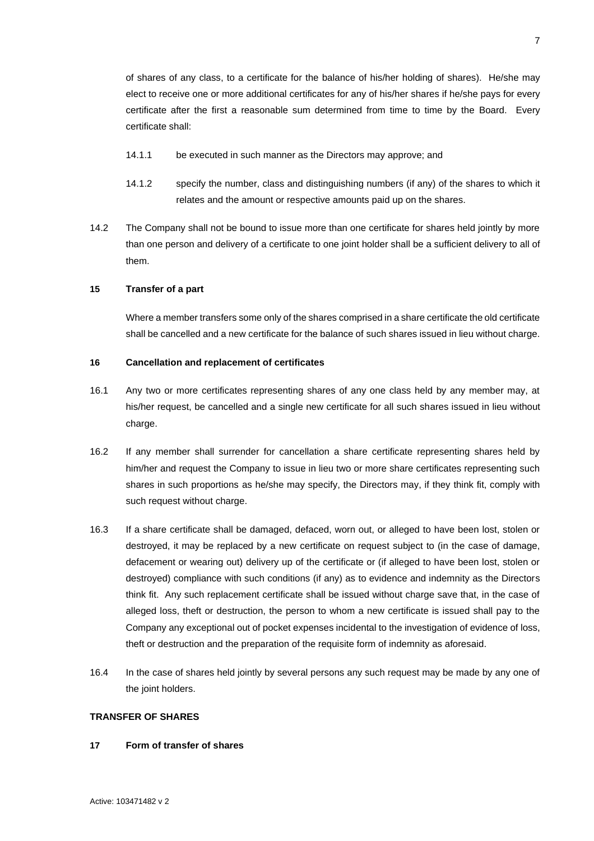of shares of any class, to a certificate for the balance of his/her holding of shares). He/she may elect to receive one or more additional certificates for any of his/her shares if he/she pays for every certificate after the first a reasonable sum determined from time to time by the Board. Every certificate shall:

- 14.1.1 be executed in such manner as the Directors may approve; and
- 14.1.2 specify the number, class and distinguishing numbers (if any) of the shares to which it relates and the amount or respective amounts paid up on the shares.
- 14.2 The Company shall not be bound to issue more than one certificate for shares held jointly by more than one person and delivery of a certificate to one joint holder shall be a sufficient delivery to all of them.

# <span id="page-13-0"></span>**15 Transfer of a part**

Where a member transfers some only of the shares comprised in a share certificate the old certificate shall be cancelled and a new certificate for the balance of such shares issued in lieu without charge.

# <span id="page-13-1"></span>**16 Cancellation and replacement of certificates**

- 16.1 Any two or more certificates representing shares of any one class held by any member may, at his/her request, be cancelled and a single new certificate for all such shares issued in lieu without charge.
- 16.2 If any member shall surrender for cancellation a share certificate representing shares held by him/her and request the Company to issue in lieu two or more share certificates representing such shares in such proportions as he/she may specify, the Directors may, if they think fit, comply with such request without charge.
- 16.3 If a share certificate shall be damaged, defaced, worn out, or alleged to have been lost, stolen or destroyed, it may be replaced by a new certificate on request subject to (in the case of damage, defacement or wearing out) delivery up of the certificate or (if alleged to have been lost, stolen or destroyed) compliance with such conditions (if any) as to evidence and indemnity as the Directors think fit. Any such replacement certificate shall be issued without charge save that, in the case of alleged loss, theft or destruction, the person to whom a new certificate is issued shall pay to the Company any exceptional out of pocket expenses incidental to the investigation of evidence of loss, theft or destruction and the preparation of the requisite form of indemnity as aforesaid.
- 16.4 In the case of shares held jointly by several persons any such request may be made by any one of the joint holders.

# <span id="page-13-2"></span>**TRANSFER OF SHARES**

#### <span id="page-13-3"></span>**17 Form of transfer of shares**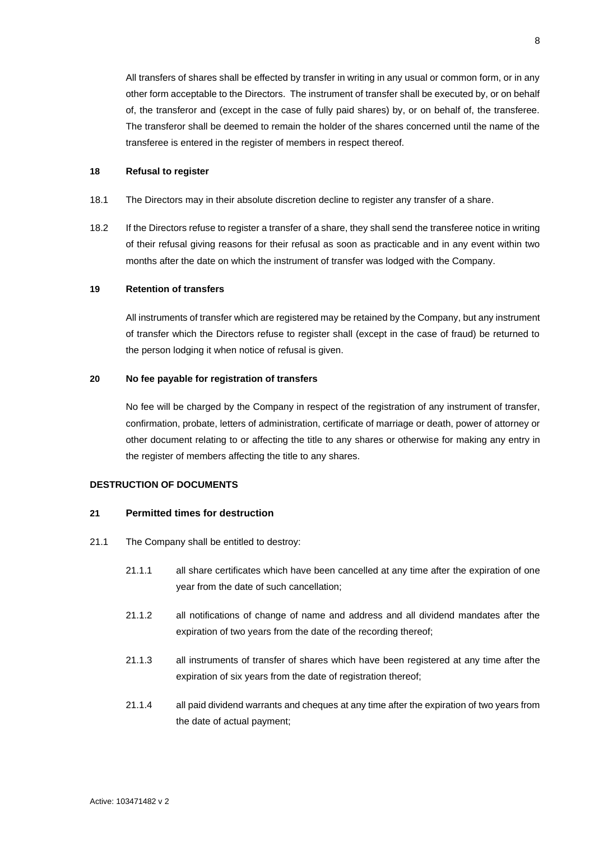All transfers of shares shall be effected by transfer in writing in any usual or common form, or in any other form acceptable to the Directors. The instrument of transfer shall be executed by, or on behalf of, the transferor and (except in the case of fully paid shares) by, or on behalf of, the transferee. The transferor shall be deemed to remain the holder of the shares concerned until the name of the transferee is entered in the register of members in respect thereof.

### <span id="page-14-0"></span>**18 Refusal to register**

- 18.1 The Directors may in their absolute discretion decline to register any transfer of a share.
- 18.2 If the Directors refuse to register a transfer of a share, they shall send the transferee notice in writing of their refusal giving reasons for their refusal as soon as practicable and in any event within two months after the date on which the instrument of transfer was lodged with the Company.

### <span id="page-14-1"></span>**19 Retention of transfers**

All instruments of transfer which are registered may be retained by the Company, but any instrument of transfer which the Directors refuse to register shall (except in the case of fraud) be returned to the person lodging it when notice of refusal is given.

# <span id="page-14-2"></span>**20 No fee payable for registration of transfers**

No fee will be charged by the Company in respect of the registration of any instrument of transfer, confirmation, probate, letters of administration, certificate of marriage or death, power of attorney or other document relating to or affecting the title to any shares or otherwise for making any entry in the register of members affecting the title to any shares.

### <span id="page-14-3"></span>**DESTRUCTION OF DOCUMENTS**

### <span id="page-14-4"></span>**21 Permitted times for destruction**

- 21.1 The Company shall be entitled to destroy:
	- 21.1.1 all share certificates which have been cancelled at any time after the expiration of one year from the date of such cancellation;
	- 21.1.2 all notifications of change of name and address and all dividend mandates after the expiration of two years from the date of the recording thereof;
	- 21.1.3 all instruments of transfer of shares which have been registered at any time after the expiration of six years from the date of registration thereof;
	- 21.1.4 all paid dividend warrants and cheques at any time after the expiration of two years from the date of actual payment;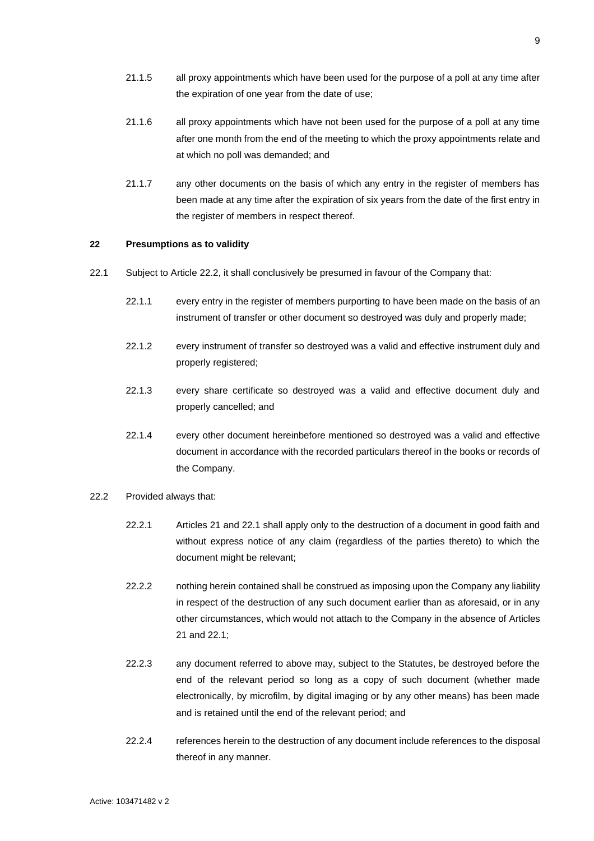- 21.1.5 all proxy appointments which have been used for the purpose of a poll at any time after the expiration of one year from the date of use;
- 21.1.6 all proxy appointments which have not been used for the purpose of a poll at any time after one month from the end of the meeting to which the proxy appointments relate and at which no poll was demanded; and
- 21.1.7 any other documents on the basis of which any entry in the register of members has been made at any time after the expiration of six years from the date of the first entry in the register of members in respect thereof.

## <span id="page-15-0"></span>**22 Presumptions as to validity**

- <span id="page-15-2"></span>22.1 Subject to Article [22.2,](#page-15-1) it shall conclusively be presumed in favour of the Company that:
	- 22.1.1 every entry in the register of members purporting to have been made on the basis of an instrument of transfer or other document so destroyed was duly and properly made;
	- 22.1.2 every instrument of transfer so destroyed was a valid and effective instrument duly and properly registered;
	- 22.1.3 every share certificate so destroyed was a valid and effective document duly and properly cancelled; and
	- 22.1.4 every other document hereinbefore mentioned so destroyed was a valid and effective document in accordance with the recorded particulars thereof in the books or records of the Company.
- <span id="page-15-1"></span>22.2 Provided always that:
	- 22.2.1 Articles [21](#page-14-4) and [22.1](#page-15-2) shall apply only to the destruction of a document in good faith and without express notice of any claim (regardless of the parties thereto) to which the document might be relevant;
	- 22.2.2 nothing herein contained shall be construed as imposing upon the Company any liability in respect of the destruction of any such document earlier than as aforesaid, or in any other circumstances, which would not attach to the Company in the absence of Articles [21](#page-14-4) and [22.1;](#page-15-2)
	- 22.2.3 any document referred to above may, subject to the Statutes, be destroyed before the end of the relevant period so long as a copy of such document (whether made electronically, by microfilm, by digital imaging or by any other means) has been made and is retained until the end of the relevant period; and
	- 22.2.4 references herein to the destruction of any document include references to the disposal thereof in any manner.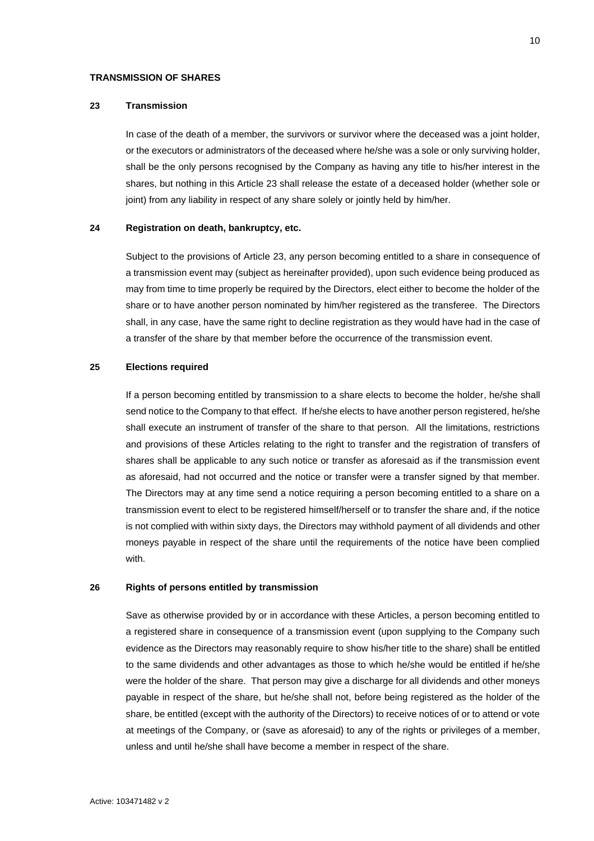# <span id="page-16-0"></span>**TRANSMISSION OF SHARES**

# <span id="page-16-1"></span>**23 Transmission**

In case of the death of a member, the survivors or survivor where the deceased was a joint holder, or the executors or administrators of the deceased where he/she was a sole or only surviving holder, shall be the only persons recognised by the Company as having any title to his/her interest in the shares, but nothing in this Article [23](#page-16-1) shall release the estate of a deceased holder (whether sole or joint) from any liability in respect of any share solely or jointly held by him/her.

# <span id="page-16-2"></span>**24 Registration on death, bankruptcy, etc.**

Subject to the provisions of Article [23,](#page-16-1) any person becoming entitled to a share in consequence of a transmission event may (subject as hereinafter provided), upon such evidence being produced as may from time to time properly be required by the Directors, elect either to become the holder of the share or to have another person nominated by him/her registered as the transferee. The Directors shall, in any case, have the same right to decline registration as they would have had in the case of a transfer of the share by that member before the occurrence of the transmission event.

### <span id="page-16-3"></span>**25 Elections required**

If a person becoming entitled by transmission to a share elects to become the holder, he/she shall send notice to the Company to that effect. If he/she elects to have another person registered, he/she shall execute an instrument of transfer of the share to that person. All the limitations, restrictions and provisions of these Articles relating to the right to transfer and the registration of transfers of shares shall be applicable to any such notice or transfer as aforesaid as if the transmission event as aforesaid, had not occurred and the notice or transfer were a transfer signed by that member. The Directors may at any time send a notice requiring a person becoming entitled to a share on a transmission event to elect to be registered himself/herself or to transfer the share and, if the notice is not complied with within sixty days, the Directors may withhold payment of all dividends and other moneys payable in respect of the share until the requirements of the notice have been complied with.

### <span id="page-16-4"></span>**26 Rights of persons entitled by transmission**

Save as otherwise provided by or in accordance with these Articles, a person becoming entitled to a registered share in consequence of a transmission event (upon supplying to the Company such evidence as the Directors may reasonably require to show his/her title to the share) shall be entitled to the same dividends and other advantages as those to which he/she would be entitled if he/she were the holder of the share. That person may give a discharge for all dividends and other moneys payable in respect of the share, but he/she shall not, before being registered as the holder of the share, be entitled (except with the authority of the Directors) to receive notices of or to attend or vote at meetings of the Company, or (save as aforesaid) to any of the rights or privileges of a member, unless and until he/she shall have become a member in respect of the share.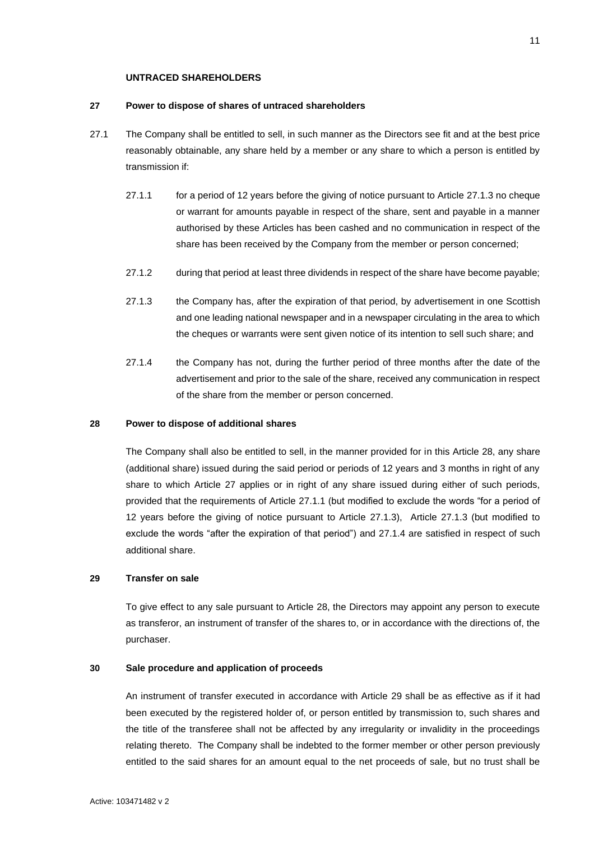# **UNTRACED SHAREHOLDERS**

### <span id="page-17-0"></span>**27 Power to dispose of shares of untraced shareholders**

- <span id="page-17-5"></span>27.1 The Company shall be entitled to sell, in such manner as the Directors see fit and at the best price reasonably obtainable, any share held by a member or any share to which a person is entitled by transmission if:
	- 27.1.1 for a period of 12 years before the giving of notice pursuant to Article [27.1.3](#page-17-4) no cheque or warrant for amounts payable in respect of the share, sent and payable in a manner authorised by these Articles has been cashed and no communication in respect of the share has been received by the Company from the member or person concerned;
	- 27.1.2 during that period at least three dividends in respect of the share have become payable;
	- 27.1.3 the Company has, after the expiration of that period, by advertisement in one Scottish and one leading national newspaper and in a newspaper circulating in the area to which the cheques or warrants were sent given notice of its intention to sell such share; and
	- 27.1.4 the Company has not, during the further period of three months after the date of the advertisement and prior to the sale of the share, received any communication in respect of the share from the member or person concerned.

### <span id="page-17-6"></span><span id="page-17-4"></span><span id="page-17-1"></span>**28 Power to dispose of additional shares**

The Company shall also be entitled to sell, in the manner provided for in this Article [28,](#page-17-1) any share (additional share) issued during the said period or periods of 12 years and 3 months in right of any share to which Article [27](#page-17-0) applies or in right of any share issued during either of such periods, provided that the requirements of Article [27.1.1](#page-17-5) (but modified to exclude the words "for a period of 12 years before the giving of notice pursuant to Article [27.1.3\)](#page-17-4), Article [27.1.3](#page-17-4) (but modified to exclude the words "after the expiration of that period") and [27.1.4](#page-17-6) are satisfied in respect of such additional share.

# <span id="page-17-2"></span>**29 Transfer on sale**

To give effect to any sale pursuant to Article [28,](#page-17-1) the Directors may appoint any person to execute as transferor, an instrument of transfer of the shares to, or in accordance with the directions of, the purchaser.

### <span id="page-17-3"></span>**30 Sale procedure and application of proceeds**

An instrument of transfer executed in accordance with Article [29](#page-17-2) shall be as effective as if it had been executed by the registered holder of, or person entitled by transmission to, such shares and the title of the transferee shall not be affected by any irregularity or invalidity in the proceedings relating thereto. The Company shall be indebted to the former member or other person previously entitled to the said shares for an amount equal to the net proceeds of sale, but no trust shall be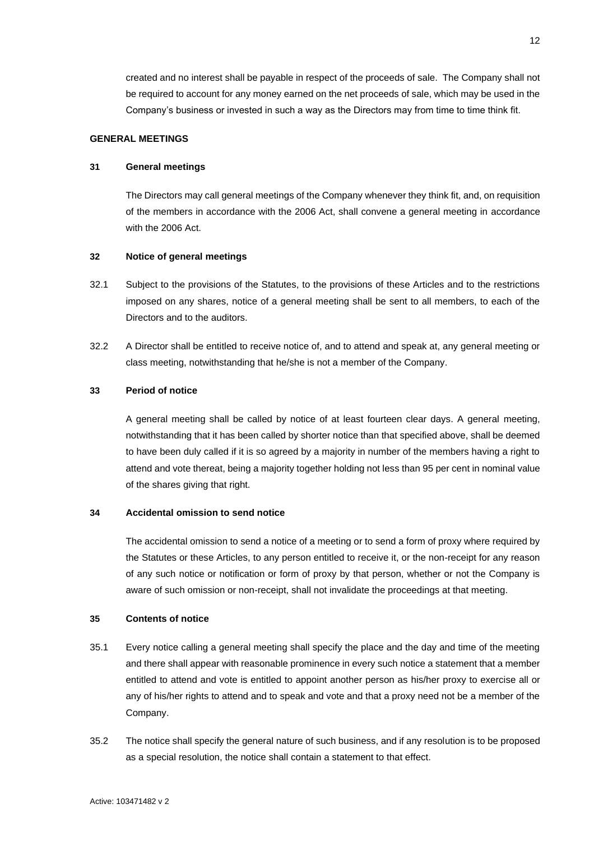created and no interest shall be payable in respect of the proceeds of sale. The Company shall not be required to account for any money earned on the net proceeds of sale, which may be used in the Company's business or invested in such a way as the Directors may from time to time think fit.

# <span id="page-18-0"></span>**GENERAL MEETINGS**

### <span id="page-18-1"></span>**31 General meetings**

The Directors may call general meetings of the Company whenever they think fit, and, on requisition of the members in accordance with the 2006 Act, shall convene a general meeting in accordance with the 2006 Act.

# <span id="page-18-2"></span>**32 Notice of general meetings**

- 32.1 Subject to the provisions of the Statutes, to the provisions of these Articles and to the restrictions imposed on any shares, notice of a general meeting shall be sent to all members, to each of the Directors and to the auditors.
- 32.2 A Director shall be entitled to receive notice of, and to attend and speak at, any general meeting or class meeting, notwithstanding that he/she is not a member of the Company.

# <span id="page-18-3"></span>**33 Period of notice**

A general meeting shall be called by notice of at least fourteen clear days. A general meeting, notwithstanding that it has been called by shorter notice than that specified above, shall be deemed to have been duly called if it is so agreed by a majority in number of the members having a right to attend and vote thereat, being a majority together holding not less than 95 per cent in nominal value of the shares giving that right.

### <span id="page-18-4"></span>**34 Accidental omission to send notice**

The accidental omission to send a notice of a meeting or to send a form of proxy where required by the Statutes or these Articles, to any person entitled to receive it, or the non-receipt for any reason of any such notice or notification or form of proxy by that person, whether or not the Company is aware of such omission or non-receipt, shall not invalidate the proceedings at that meeting.

# <span id="page-18-5"></span>**35 Contents of notice**

- 35.1 Every notice calling a general meeting shall specify the place and the day and time of the meeting and there shall appear with reasonable prominence in every such notice a statement that a member entitled to attend and vote is entitled to appoint another person as his/her proxy to exercise all or any of his/her rights to attend and to speak and vote and that a proxy need not be a member of the Company.
- 35.2 The notice shall specify the general nature of such business, and if any resolution is to be proposed as a special resolution, the notice shall contain a statement to that effect.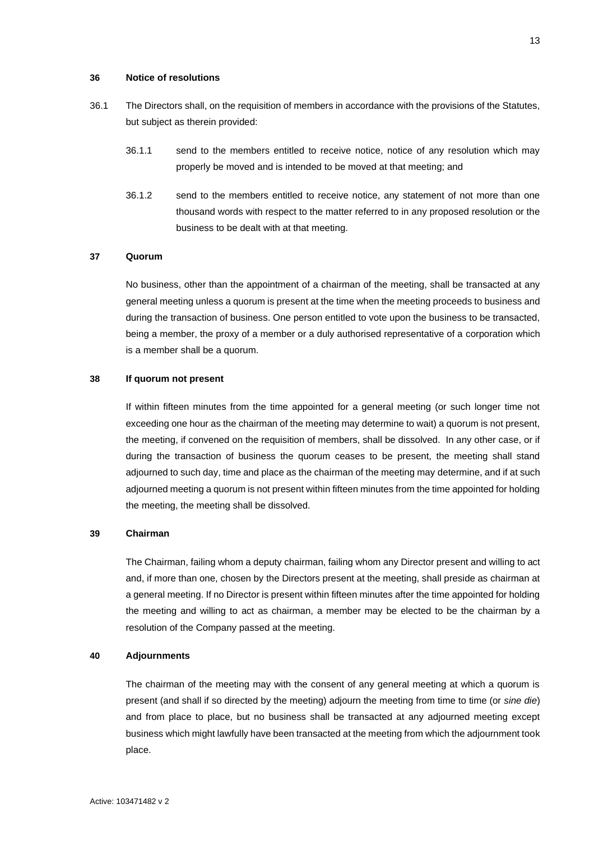#### <span id="page-19-0"></span>**36 Notice of resolutions**

- 36.1 The Directors shall, on the requisition of members in accordance with the provisions of the Statutes, but subject as therein provided:
	- 36.1.1 send to the members entitled to receive notice, notice of any resolution which may properly be moved and is intended to be moved at that meeting; and
	- 36.1.2 send to the members entitled to receive notice, any statement of not more than one thousand words with respect to the matter referred to in any proposed resolution or the business to be dealt with at that meeting.

# <span id="page-19-1"></span>**37 Quorum**

No business, other than the appointment of a chairman of the meeting, shall be transacted at any general meeting unless a quorum is present at the time when the meeting proceeds to business and during the transaction of business. One person entitled to vote upon the business to be transacted, being a member, the proxy of a member or a duly authorised representative of a corporation which is a member shall be a quorum.

# <span id="page-19-2"></span>**38 If quorum not present**

If within fifteen minutes from the time appointed for a general meeting (or such longer time not exceeding one hour as the chairman of the meeting may determine to wait) a quorum is not present, the meeting, if convened on the requisition of members, shall be dissolved. In any other case, or if during the transaction of business the quorum ceases to be present, the meeting shall stand adjourned to such day, time and place as the chairman of the meeting may determine, and if at such adjourned meeting a quorum is not present within fifteen minutes from the time appointed for holding the meeting, the meeting shall be dissolved.

# <span id="page-19-3"></span>**39 Chairman**

The Chairman, failing whom a deputy chairman, failing whom any Director present and willing to act and, if more than one, chosen by the Directors present at the meeting, shall preside as chairman at a general meeting. If no Director is present within fifteen minutes after the time appointed for holding the meeting and willing to act as chairman, a member may be elected to be the chairman by a resolution of the Company passed at the meeting.

#### <span id="page-19-4"></span>**40 Adjournments**

The chairman of the meeting may with the consent of any general meeting at which a quorum is present (and shall if so directed by the meeting) adjourn the meeting from time to time (or *sine die*) and from place to place, but no business shall be transacted at any adjourned meeting except business which might lawfully have been transacted at the meeting from which the adjournment took place.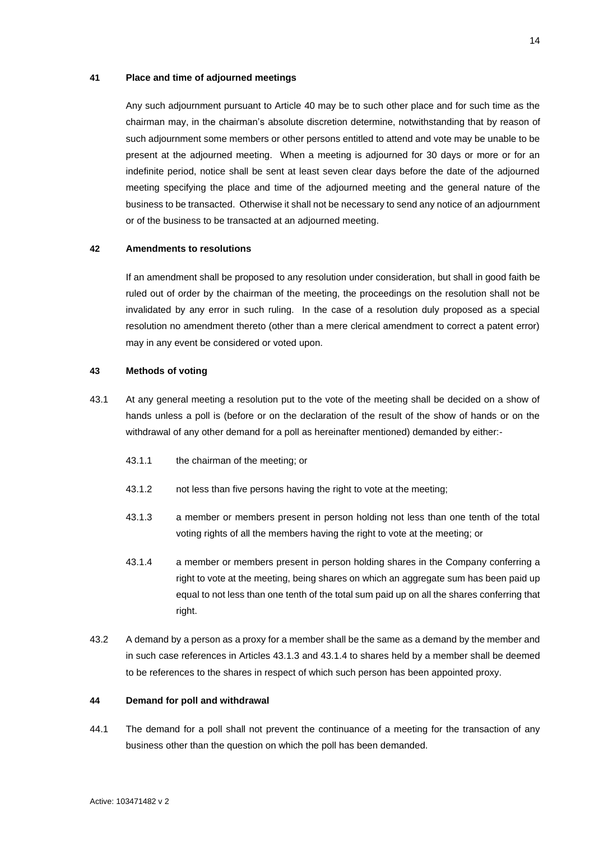### <span id="page-20-0"></span>**41 Place and time of adjourned meetings**

Any such adjournment pursuant to Article [40](#page-19-4) may be to such other place and for such time as the chairman may, in the chairman's absolute discretion determine, notwithstanding that by reason of such adjournment some members or other persons entitled to attend and vote may be unable to be present at the adjourned meeting. When a meeting is adjourned for 30 days or more or for an indefinite period, notice shall be sent at least seven clear days before the date of the adjourned meeting specifying the place and time of the adjourned meeting and the general nature of the business to be transacted. Otherwise it shall not be necessary to send any notice of an adjournment or of the business to be transacted at an adjourned meeting.

# <span id="page-20-1"></span>**42 Amendments to resolutions**

If an amendment shall be proposed to any resolution under consideration, but shall in good faith be ruled out of order by the chairman of the meeting, the proceedings on the resolution shall not be invalidated by any error in such ruling. In the case of a resolution duly proposed as a special resolution no amendment thereto (other than a mere clerical amendment to correct a patent error) may in any event be considered or voted upon.

# <span id="page-20-2"></span>**43 Methods of voting**

- <span id="page-20-4"></span>43.1 At any general meeting a resolution put to the vote of the meeting shall be decided on a show of hands unless a poll is (before or on the declaration of the result of the show of hands or on the withdrawal of any other demand for a poll as hereinafter mentioned) demanded by either:-
	- 43.1.1 the chairman of the meeting; or
	- 43.1.2 not less than five persons having the right to vote at the meeting;
	- 43.1.3 a member or members present in person holding not less than one tenth of the total voting rights of all the members having the right to vote at the meeting; or
	- 43.1.4 a member or members present in person holding shares in the Company conferring a right to vote at the meeting, being shares on which an aggregate sum has been paid up equal to not less than one tenth of the total sum paid up on all the shares conferring that right.
- <span id="page-20-5"></span>43.2 A demand by a person as a proxy for a member shall be the same as a demand by the member and in such case references in Articles [43.1.3](#page-20-4) and [43.1.4](#page-20-5) to shares held by a member shall be deemed to be references to the shares in respect of which such person has been appointed proxy.

#### <span id="page-20-3"></span>**44 Demand for poll and withdrawal**

44.1 The demand for a poll shall not prevent the continuance of a meeting for the transaction of any business other than the question on which the poll has been demanded.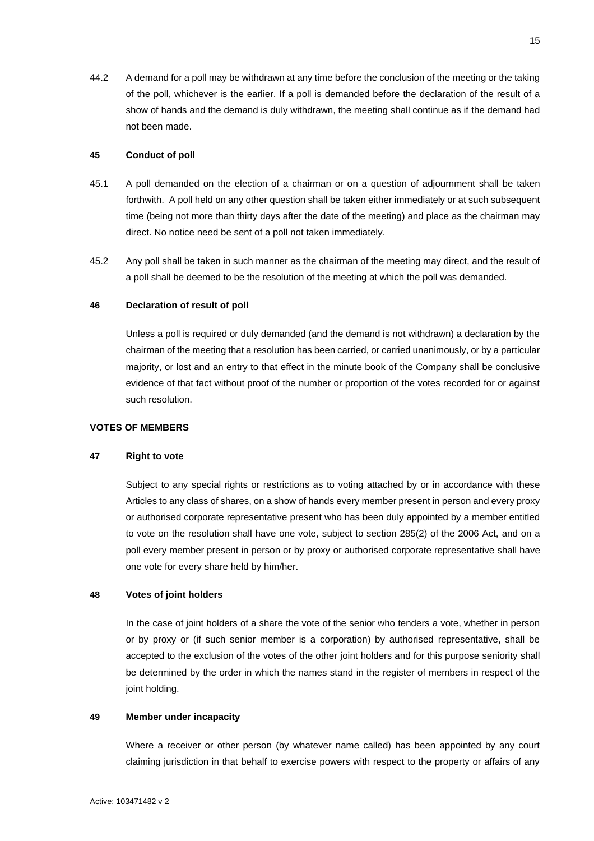44.2 A demand for a poll may be withdrawn at any time before the conclusion of the meeting or the taking of the poll, whichever is the earlier. If a poll is demanded before the declaration of the result of a show of hands and the demand is duly withdrawn, the meeting shall continue as if the demand had not been made.

### <span id="page-21-0"></span>**45 Conduct of poll**

- 45.1 A poll demanded on the election of a chairman or on a question of adjournment shall be taken forthwith. A poll held on any other question shall be taken either immediately or at such subsequent time (being not more than thirty days after the date of the meeting) and place as the chairman may direct. No notice need be sent of a poll not taken immediately.
- 45.2 Any poll shall be taken in such manner as the chairman of the meeting may direct, and the result of a poll shall be deemed to be the resolution of the meeting at which the poll was demanded.

## <span id="page-21-1"></span>**46 Declaration of result of poll**

Unless a poll is required or duly demanded (and the demand is not withdrawn) a declaration by the chairman of the meeting that a resolution has been carried, or carried unanimously, or by a particular majority, or lost and an entry to that effect in the minute book of the Company shall be conclusive evidence of that fact without proof of the number or proportion of the votes recorded for or against such resolution.

# <span id="page-21-2"></span>**VOTES OF MEMBERS**

### <span id="page-21-3"></span>**47 Right to vote**

Subject to any special rights or restrictions as to voting attached by or in accordance with these Articles to any class of shares, on a show of hands every member present in person and every proxy or authorised corporate representative present who has been duly appointed by a member entitled to vote on the resolution shall have one vote, subject to section 285(2) of the 2006 Act, and on a poll every member present in person or by proxy or authorised corporate representative shall have one vote for every share held by him/her.

### <span id="page-21-4"></span>**48 Votes of joint holders**

In the case of joint holders of a share the vote of the senior who tenders a vote, whether in person or by proxy or (if such senior member is a corporation) by authorised representative, shall be accepted to the exclusion of the votes of the other joint holders and for this purpose seniority shall be determined by the order in which the names stand in the register of members in respect of the joint holding.

### <span id="page-21-5"></span>**49 Member under incapacity**

Where a receiver or other person (by whatever name called) has been appointed by any court claiming jurisdiction in that behalf to exercise powers with respect to the property or affairs of any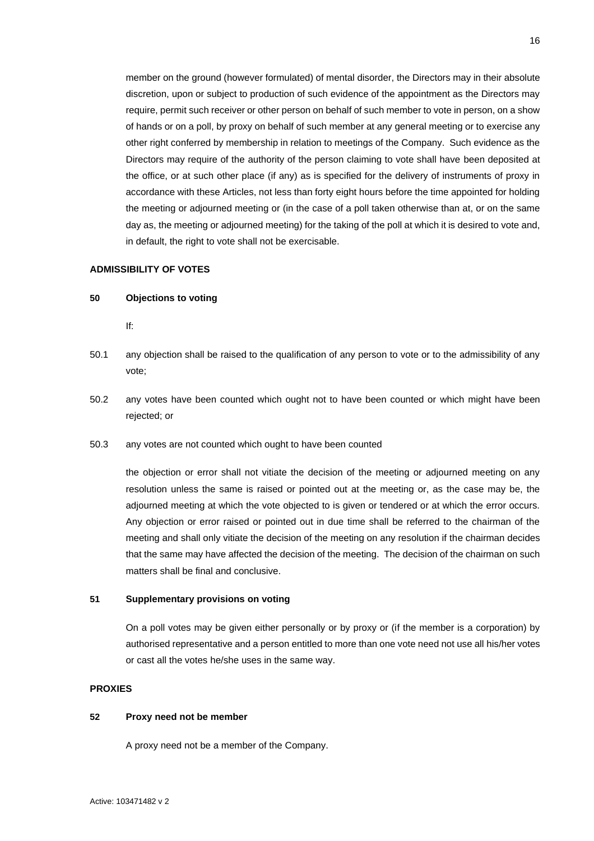member on the ground (however formulated) of mental disorder, the Directors may in their absolute discretion, upon or subject to production of such evidence of the appointment as the Directors may require, permit such receiver or other person on behalf of such member to vote in person, on a show of hands or on a poll, by proxy on behalf of such member at any general meeting or to exercise any other right conferred by membership in relation to meetings of the Company. Such evidence as the Directors may require of the authority of the person claiming to vote shall have been deposited at the office, or at such other place (if any) as is specified for the delivery of instruments of proxy in accordance with these Articles, not less than forty eight hours before the time appointed for holding the meeting or adjourned meeting or (in the case of a poll taken otherwise than at, or on the same day as, the meeting or adjourned meeting) for the taking of the poll at which it is desired to vote and, in default, the right to vote shall not be exercisable.

### <span id="page-22-0"></span>**ADMISSIBILITY OF VOTES**

#### <span id="page-22-1"></span>**50 Objections to voting**

If:

- 50.1 any objection shall be raised to the qualification of any person to vote or to the admissibility of any vote;
- 50.2 any votes have been counted which ought not to have been counted or which might have been rejected; or
- 50.3 any votes are not counted which ought to have been counted

the objection or error shall not vitiate the decision of the meeting or adjourned meeting on any resolution unless the same is raised or pointed out at the meeting or, as the case may be, the adjourned meeting at which the vote objected to is given or tendered or at which the error occurs. Any objection or error raised or pointed out in due time shall be referred to the chairman of the meeting and shall only vitiate the decision of the meeting on any resolution if the chairman decides that the same may have affected the decision of the meeting. The decision of the chairman on such matters shall be final and conclusive.

# <span id="page-22-2"></span>**51 Supplementary provisions on voting**

On a poll votes may be given either personally or by proxy or (if the member is a corporation) by authorised representative and a person entitled to more than one vote need not use all his/her votes or cast all the votes he/she uses in the same way.

# <span id="page-22-3"></span>**PROXIES**

### <span id="page-22-4"></span>**52 Proxy need not be member**

A proxy need not be a member of the Company.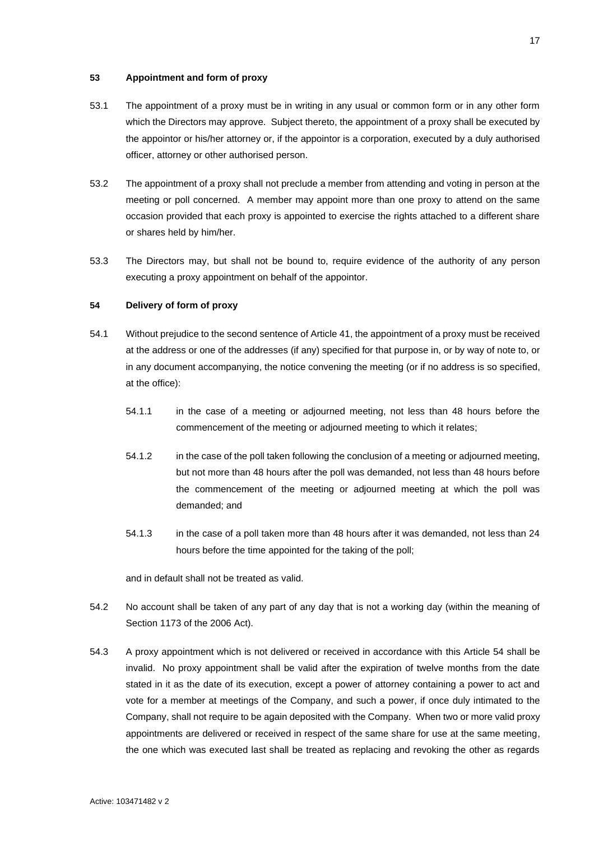# <span id="page-23-0"></span>**53 Appointment and form of proxy**

- 53.1 The appointment of a proxy must be in writing in any usual or common form or in any other form which the Directors may approve. Subject thereto, the appointment of a proxy shall be executed by the appointor or his/her attorney or, if the appointor is a corporation, executed by a duly authorised officer, attorney or other authorised person.
- 53.2 The appointment of a proxy shall not preclude a member from attending and voting in person at the meeting or poll concerned. A member may appoint more than one proxy to attend on the same occasion provided that each proxy is appointed to exercise the rights attached to a different share or shares held by him/her.
- 53.3 The Directors may, but shall not be bound to, require evidence of the authority of any person executing a proxy appointment on behalf of the appointor.

## <span id="page-23-1"></span>**54 Delivery of form of proxy**

- 54.1 Without prejudice to the second sentence of Article [41,](#page-20-0) the appointment of a proxy must be received at the address or one of the addresses (if any) specified for that purpose in, or by way of note to, or in any document accompanying, the notice convening the meeting (or if no address is so specified, at the office):
	- 54.1.1 in the case of a meeting or adjourned meeting, not less than 48 hours before the commencement of the meeting or adjourned meeting to which it relates;
	- 54.1.2 in the case of the poll taken following the conclusion of a meeting or adjourned meeting, but not more than 48 hours after the poll was demanded, not less than 48 hours before the commencement of the meeting or adjourned meeting at which the poll was demanded; and
	- 54.1.3 in the case of a poll taken more than 48 hours after it was demanded, not less than 24 hours before the time appointed for the taking of the poll;

and in default shall not be treated as valid.

- 54.2 No account shall be taken of any part of any day that is not a working day (within the meaning of Section 1173 of the 2006 Act).
- 54.3 A proxy appointment which is not delivered or received in accordance with this Article [54](#page-23-1) shall be invalid. No proxy appointment shall be valid after the expiration of twelve months from the date stated in it as the date of its execution, except a power of attorney containing a power to act and vote for a member at meetings of the Company, and such a power, if once duly intimated to the Company, shall not require to be again deposited with the Company. When two or more valid proxy appointments are delivered or received in respect of the same share for use at the same meeting, the one which was executed last shall be treated as replacing and revoking the other as regards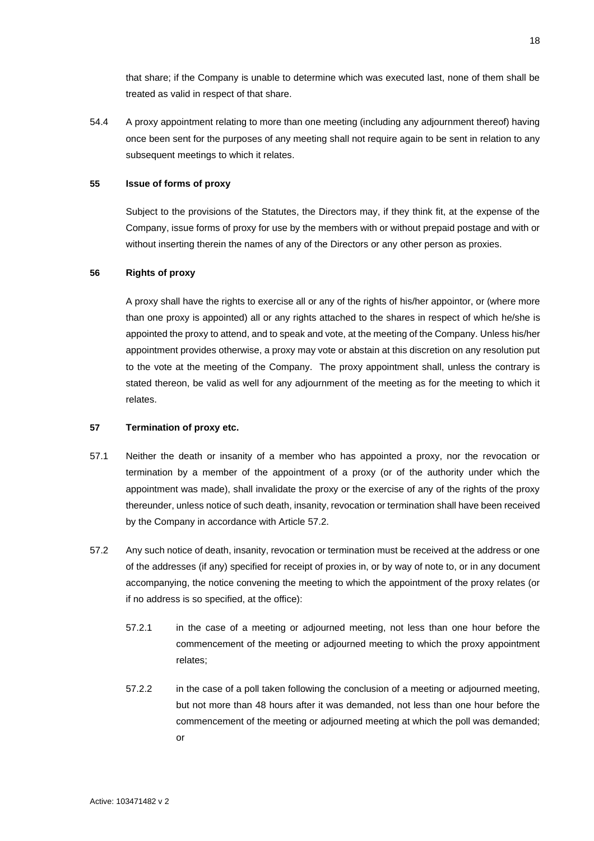that share; if the Company is unable to determine which was executed last, none of them shall be treated as valid in respect of that share.

54.4 A proxy appointment relating to more than one meeting (including any adjournment thereof) having once been sent for the purposes of any meeting shall not require again to be sent in relation to any subsequent meetings to which it relates.

### <span id="page-24-0"></span>**55 Issue of forms of proxy**

Subject to the provisions of the Statutes, the Directors may, if they think fit, at the expense of the Company, issue forms of proxy for use by the members with or without prepaid postage and with or without inserting therein the names of any of the Directors or any other person as proxies.

# <span id="page-24-1"></span>**56 Rights of proxy**

A proxy shall have the rights to exercise all or any of the rights of his/her appointor, or (where more than one proxy is appointed) all or any rights attached to the shares in respect of which he/she is appointed the proxy to attend, and to speak and vote, at the meeting of the Company. Unless his/her appointment provides otherwise, a proxy may vote or abstain at this discretion on any resolution put to the vote at the meeting of the Company. The proxy appointment shall, unless the contrary is stated thereon, be valid as well for any adjournment of the meeting as for the meeting to which it relates.

### <span id="page-24-2"></span>**57 Termination of proxy etc.**

- 57.1 Neither the death or insanity of a member who has appointed a proxy, nor the revocation or termination by a member of the appointment of a proxy (or of the authority under which the appointment was made), shall invalidate the proxy or the exercise of any of the rights of the proxy thereunder, unless notice of such death, insanity, revocation or termination shall have been received by the Company in accordance with Article [57.2.](#page-24-3)
- <span id="page-24-3"></span>57.2 Any such notice of death, insanity, revocation or termination must be received at the address or one of the addresses (if any) specified for receipt of proxies in, or by way of note to, or in any document accompanying, the notice convening the meeting to which the appointment of the proxy relates (or if no address is so specified, at the office):
	- 57.2.1 in the case of a meeting or adjourned meeting, not less than one hour before the commencement of the meeting or adjourned meeting to which the proxy appointment relates;
	- 57.2.2 in the case of a poll taken following the conclusion of a meeting or adjourned meeting, but not more than 48 hours after it was demanded, not less than one hour before the commencement of the meeting or adjourned meeting at which the poll was demanded; or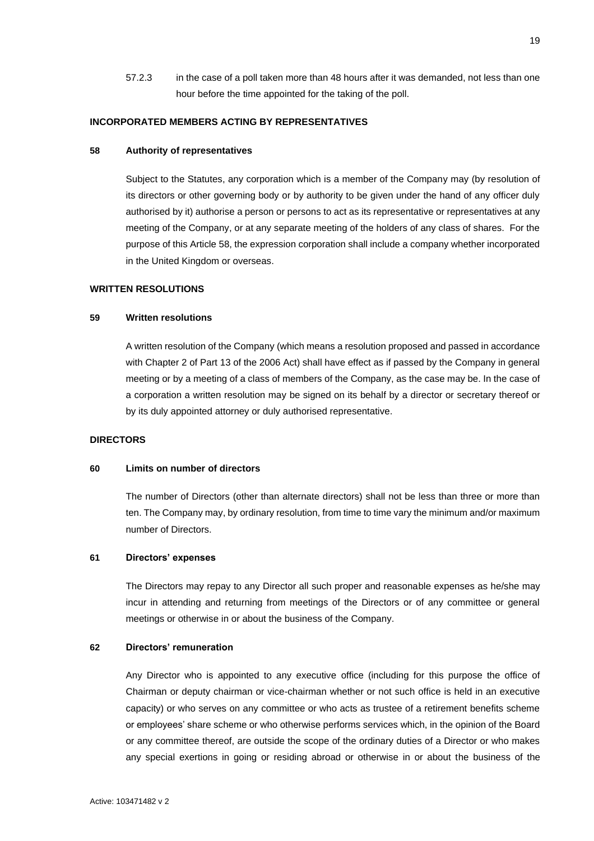57.2.3 in the case of a poll taken more than 48 hours after it was demanded, not less than one hour before the time appointed for the taking of the poll.

### <span id="page-25-0"></span>**INCORPORATED MEMBERS ACTING BY REPRESENTATIVES**

### <span id="page-25-1"></span>**58 Authority of representatives**

Subject to the Statutes, any corporation which is a member of the Company may (by resolution of its directors or other governing body or by authority to be given under the hand of any officer duly authorised by it) authorise a person or persons to act as its representative or representatives at any meeting of the Company, or at any separate meeting of the holders of any class of shares. For the purpose of this Article [58,](#page-25-1) the expression corporation shall include a company whether incorporated in the United Kingdom or overseas.

# **WRITTEN RESOLUTIONS**

### <span id="page-25-2"></span>**59 Written resolutions**

A written resolution of the Company (which means a resolution proposed and passed in accordance with Chapter 2 of Part 13 of the 2006 Act) shall have effect as if passed by the Company in general meeting or by a meeting of a class of members of the Company, as the case may be. In the case of a corporation a written resolution may be signed on its behalf by a director or secretary thereof or by its duly appointed attorney or duly authorised representative.

#### <span id="page-25-3"></span>**DIRECTORS**

### <span id="page-25-4"></span>**60 Limits on number of directors**

The number of Directors (other than alternate directors) shall not be less than three or more than ten. The Company may, by ordinary resolution, from time to time vary the minimum and/or maximum number of Directors.

#### <span id="page-25-5"></span>**61 Directors' expenses**

The Directors may repay to any Director all such proper and reasonable expenses as he/she may incur in attending and returning from meetings of the Directors or of any committee or general meetings or otherwise in or about the business of the Company.

#### <span id="page-25-6"></span>**62 Directors' remuneration**

Any Director who is appointed to any executive office (including for this purpose the office of Chairman or deputy chairman or vice-chairman whether or not such office is held in an executive capacity) or who serves on any committee or who acts as trustee of a retirement benefits scheme or employees' share scheme or who otherwise performs services which, in the opinion of the Board or any committee thereof, are outside the scope of the ordinary duties of a Director or who makes any special exertions in going or residing abroad or otherwise in or about the business of the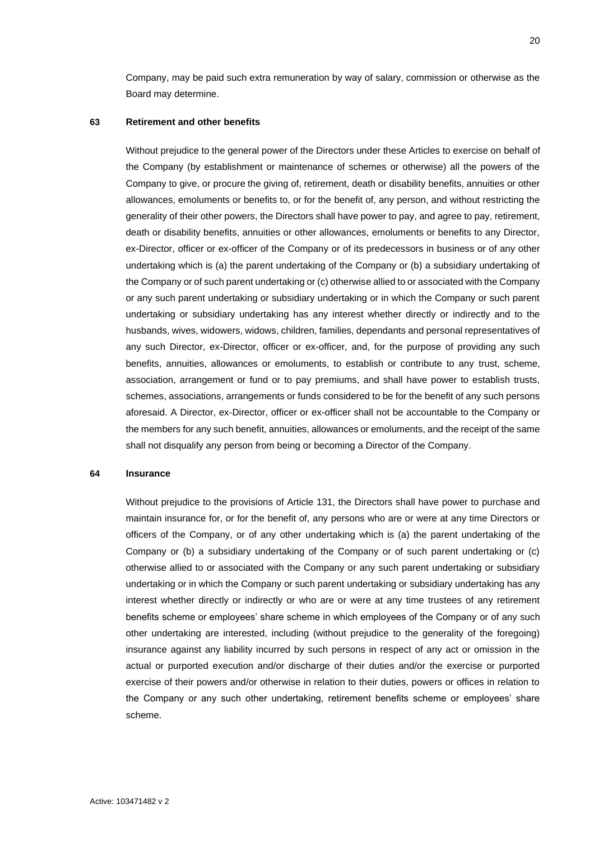Company, may be paid such extra remuneration by way of salary, commission or otherwise as the Board may determine.

#### <span id="page-26-0"></span>**63 Retirement and other benefits**

Without prejudice to the general power of the Directors under these Articles to exercise on behalf of the Company (by establishment or maintenance of schemes or otherwise) all the powers of the Company to give, or procure the giving of, retirement, death or disability benefits, annuities or other allowances, emoluments or benefits to, or for the benefit of, any person, and without restricting the generality of their other powers, the Directors shall have power to pay, and agree to pay, retirement, death or disability benefits, annuities or other allowances, emoluments or benefits to any Director, ex-Director, officer or ex-officer of the Company or of its predecessors in business or of any other undertaking which is (a) the parent undertaking of the Company or (b) a subsidiary undertaking of the Company or of such parent undertaking or (c) otherwise allied to or associated with the Company or any such parent undertaking or subsidiary undertaking or in which the Company or such parent undertaking or subsidiary undertaking has any interest whether directly or indirectly and to the husbands, wives, widowers, widows, children, families, dependants and personal representatives of any such Director, ex-Director, officer or ex-officer, and, for the purpose of providing any such benefits, annuities, allowances or emoluments, to establish or contribute to any trust, scheme, association, arrangement or fund or to pay premiums, and shall have power to establish trusts, schemes, associations, arrangements or funds considered to be for the benefit of any such persons aforesaid. A Director, ex-Director, officer or ex-officer shall not be accountable to the Company or the members for any such benefit, annuities, allowances or emoluments, and the receipt of the same shall not disqualify any person from being or becoming a Director of the Company.

#### <span id="page-26-1"></span>**64 Insurance**

Without prejudice to the provisions of Article [131,](#page-52-1) the Directors shall have power to purchase and maintain insurance for, or for the benefit of, any persons who are or were at any time Directors or officers of the Company, or of any other undertaking which is (a) the parent undertaking of the Company or (b) a subsidiary undertaking of the Company or of such parent undertaking or (c) otherwise allied to or associated with the Company or any such parent undertaking or subsidiary undertaking or in which the Company or such parent undertaking or subsidiary undertaking has any interest whether directly or indirectly or who are or were at any time trustees of any retirement benefits scheme or employees' share scheme in which employees of the Company or of any such other undertaking are interested, including (without prejudice to the generality of the foregoing) insurance against any liability incurred by such persons in respect of any act or omission in the actual or purported execution and/or discharge of their duties and/or the exercise or purported exercise of their powers and/or otherwise in relation to their duties, powers or offices in relation to the Company or any such other undertaking, retirement benefits scheme or employees' share scheme.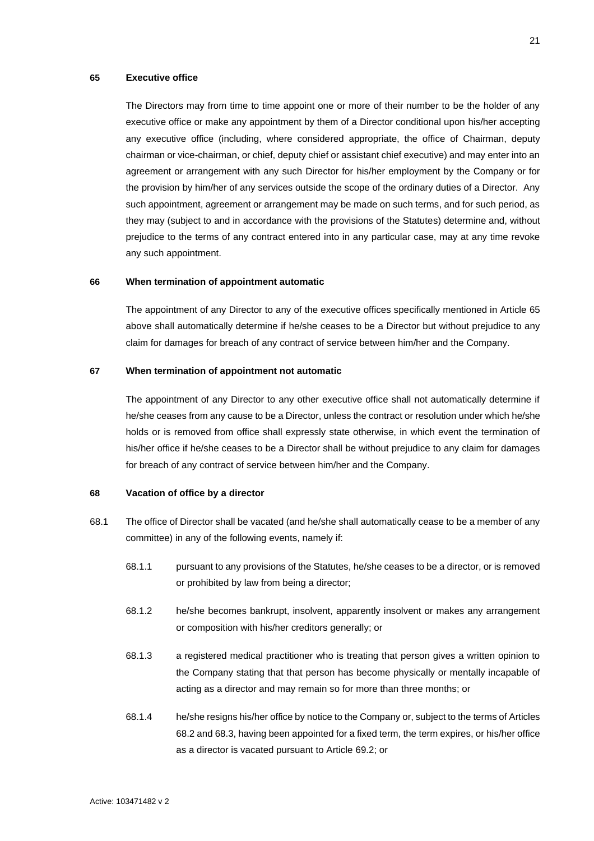#### <span id="page-27-0"></span>**65 Executive office**

The Directors may from time to time appoint one or more of their number to be the holder of any executive office or make any appointment by them of a Director conditional upon his/her accepting any executive office (including, where considered appropriate, the office of Chairman, deputy chairman or vice-chairman, or chief, deputy chief or assistant chief executive) and may enter into an agreement or arrangement with any such Director for his/her employment by the Company or for the provision by him/her of any services outside the scope of the ordinary duties of a Director. Any such appointment, agreement or arrangement may be made on such terms, and for such period, as they may (subject to and in accordance with the provisions of the Statutes) determine and, without prejudice to the terms of any contract entered into in any particular case, may at any time revoke any such appointment.

### <span id="page-27-1"></span>**66 When termination of appointment automatic**

The appointment of any Director to any of the executive offices specifically mentioned in Article [65](#page-27-0) above shall automatically determine if he/she ceases to be a Director but without prejudice to any claim for damages for breach of any contract of service between him/her and the Company.

# <span id="page-27-2"></span>**67 When termination of appointment not automatic**

The appointment of any Director to any other executive office shall not automatically determine if he/she ceases from any cause to be a Director, unless the contract or resolution under which he/she holds or is removed from office shall expressly state otherwise, in which event the termination of his/her office if he/she ceases to be a Director shall be without prejudice to any claim for damages for breach of any contract of service between him/her and the Company.

#### <span id="page-27-3"></span>**68 Vacation of office by a director**

- <span id="page-27-5"></span><span id="page-27-4"></span>68.1 The office of Director shall be vacated (and he/she shall automatically cease to be a member of any committee) in any of the following events, namely if:
	- 68.1.1 pursuant to any provisions of the Statutes, he/she ceases to be a director, or is removed or prohibited by law from being a director;
	- 68.1.2 he/she becomes bankrupt, insolvent, apparently insolvent or makes any arrangement or composition with his/her creditors generally; or
	- 68.1.3 a registered medical practitioner who is treating that person gives a written opinion to the Company stating that that person has become physically or mentally incapable of acting as a director and may remain so for more than three months; or
	- 68.1.4 he/she resigns his/her office by notice to the Company or, subject to the terms of Articles [68.2](#page-28-0) an[d 68.3,](#page-28-1) having been appointed for a fixed term, the term expires, or his/her office as a director is vacated pursuant to Article [69.2;](#page-29-2) or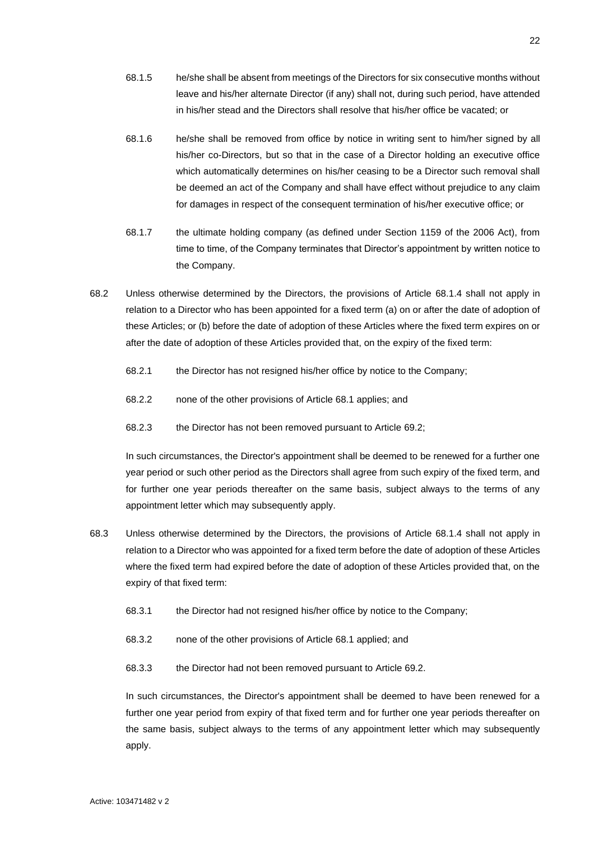- 68.1.5 he/she shall be absent from meetings of the Directors for six consecutive months without leave and his/her alternate Director (if any) shall not, during such period, have attended in his/her stead and the Directors shall resolve that his/her office be vacated; or
- 68.1.6 he/she shall be removed from office by notice in writing sent to him/her signed by all his/her co-Directors, but so that in the case of a Director holding an executive office which automatically determines on his/her ceasing to be a Director such removal shall be deemed an act of the Company and shall have effect without prejudice to any claim for damages in respect of the consequent termination of his/her executive office; or
- 68.1.7 the ultimate holding company (as defined under Section 1159 of the 2006 Act), from time to time, of the Company terminates that Director's appointment by written notice to the Company.
- <span id="page-28-0"></span>68.2 Unless otherwise determined by the Directors, the provisions of Article [68.1.4](#page-27-4) shall not apply in relation to a Director who has been appointed for a fixed term (a) on or after the date of adoption of these Articles; or (b) before the date of adoption of these Articles where the fixed term expires on or after the date of adoption of these Articles provided that, on the expiry of the fixed term:
	- 68.2.1 the Director has not resigned his/her office by notice to the Company;
	- 68.2.2 none of the other provisions of Article [68.1](#page-27-5) applies; and
	- 68.2.3 the Director has not been removed pursuant to Article [69.2;](#page-29-2)

In such circumstances, the Director's appointment shall be deemed to be renewed for a further one year period or such other period as the Directors shall agree from such expiry of the fixed term, and for further one year periods thereafter on the same basis, subject always to the terms of any appointment letter which may subsequently apply.

- <span id="page-28-1"></span>68.3 Unless otherwise determined by the Directors, the provisions of Article [68.1.4](#page-27-4) shall not apply in relation to a Director who was appointed for a fixed term before the date of adoption of these Articles where the fixed term had expired before the date of adoption of these Articles provided that, on the expiry of that fixed term:
	- 68.3.1 the Director had not resigned his/her office by notice to the Company;
	- 68.3.2 none of the other provisions of Article [68.1](#page-27-5) applied; and
	- 68.3.3 the Director had not been removed pursuant to Article [69.2.](#page-29-2)

In such circumstances, the Director's appointment shall be deemed to have been renewed for a further one year period from expiry of that fixed term and for further one year periods thereafter on the same basis, subject always to the terms of any appointment letter which may subsequently apply.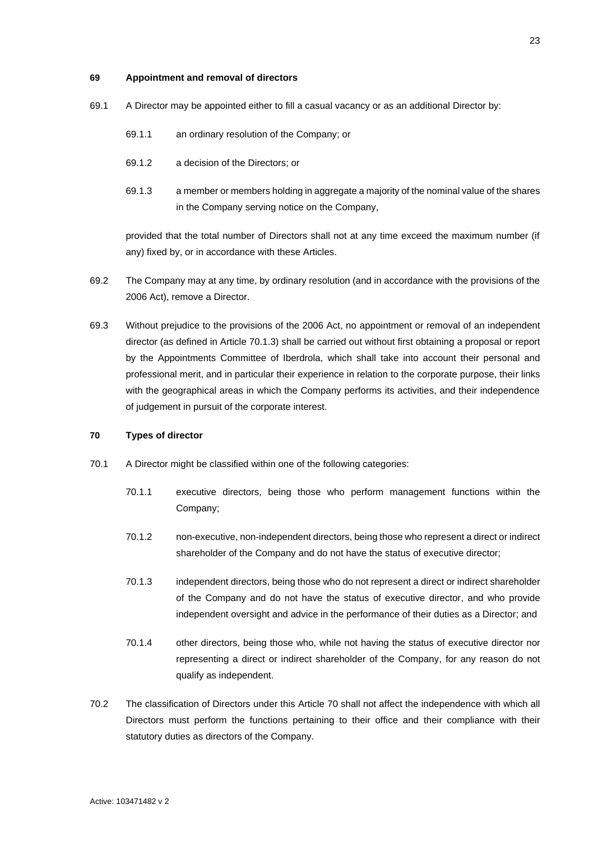### <span id="page-29-0"></span>**69 Appointment and removal of directors**

- 69.1 A Director may be appointed either to fill a casual vacancy or as an additional Director by:
	- 69.1.1 an ordinary resolution of the Company; or
	- 69.1.2 a decision of the Directors; or
	- 69.1.3 a member or members holding in aggregate a majority of the nominal value of the shares in the Company serving notice on the Company,

provided that the total number of Directors shall not at any time exceed the maximum number (if any) fixed by, or in accordance with these Articles.

- <span id="page-29-2"></span>69.2 The Company may at any time, by ordinary resolution (and in accordance with the provisions of the 2006 Act), remove a Director.
- 69.3 Without prejudice to the provisions of the 2006 Act, no appointment or removal of an independent director (as defined in Article [70.1.3\)](#page-29-3) shall be carried out without first obtaining a proposal or report by the Appointments Committee of Iberdrola, which shall take into account their personal and professional merit, and in particular their experience in relation to the corporate purpose, their links with the geographical areas in which the Company performs its activities, and their independence of judgement in pursuit of the corporate interest.

# <span id="page-29-1"></span>**70 Types of director**

- <span id="page-29-3"></span>70.1 A Director might be classified within one of the following categories:
	- 70.1.1 executive directors, being those who perform management functions within the Company;
	- 70.1.2 non-executive, non-independent directors, being those who represent a direct or indirect shareholder of the Company and do not have the status of executive director;
	- 70.1.3 independent directors, being those who do not represent a direct or indirect shareholder of the Company and do not have the status of executive director, and who provide independent oversight and advice in the performance of their duties as a Director; and
	- 70.1.4 other directors, being those who, while not having the status of executive director nor representing a direct or indirect shareholder of the Company, for any reason do not qualify as independent.
- 70.2 The classification of Directors under this Article [70](#page-29-1) shall not affect the independence with which all Directors must perform the functions pertaining to their office and their compliance with their statutory duties as directors of the Company.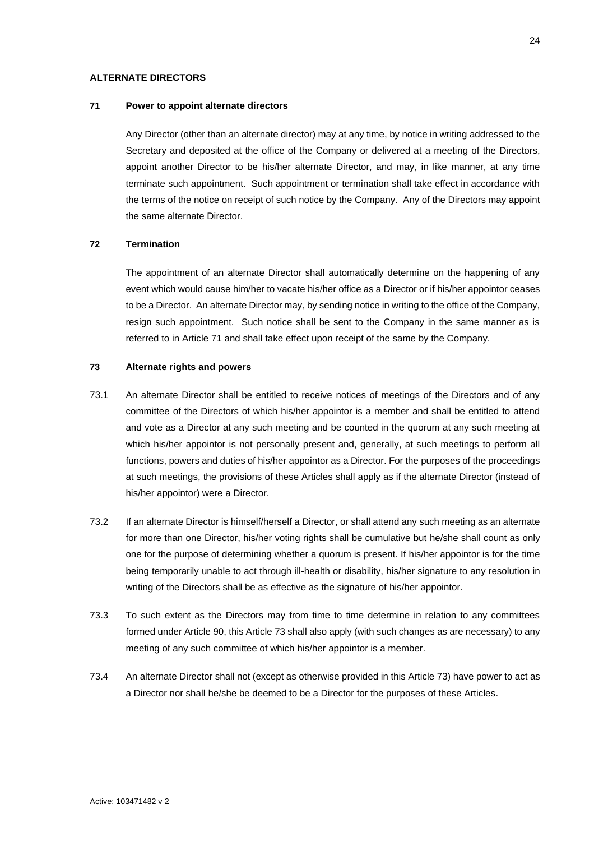# <span id="page-30-0"></span>**ALTERNATE DIRECTORS**

# <span id="page-30-1"></span>**71 Power to appoint alternate directors**

Any Director (other than an alternate director) may at any time, by notice in writing addressed to the Secretary and deposited at the office of the Company or delivered at a meeting of the Directors, appoint another Director to be his/her alternate Director, and may, in like manner, at any time terminate such appointment. Such appointment or termination shall take effect in accordance with the terms of the notice on receipt of such notice by the Company. Any of the Directors may appoint the same alternate Director.

# <span id="page-30-2"></span>**72 Termination**

The appointment of an alternate Director shall automatically determine on the happening of any event which would cause him/her to vacate his/her office as a Director or if his/her appointor ceases to be a Director. An alternate Director may, by sending notice in writing to the office of the Company, resign such appointment. Such notice shall be sent to the Company in the same manner as is referred to in Article [71](#page-30-1) and shall take effect upon receipt of the same by the Company.

### <span id="page-30-3"></span>**73 Alternate rights and powers**

- 73.1 An alternate Director shall be entitled to receive notices of meetings of the Directors and of any committee of the Directors of which his/her appointor is a member and shall be entitled to attend and vote as a Director at any such meeting and be counted in the quorum at any such meeting at which his/her appointor is not personally present and, generally, at such meetings to perform all functions, powers and duties of his/her appointor as a Director. For the purposes of the proceedings at such meetings, the provisions of these Articles shall apply as if the alternate Director (instead of his/her appointor) were a Director.
- 73.2 If an alternate Director is himself/herself a Director, or shall attend any such meeting as an alternate for more than one Director, his/her voting rights shall be cumulative but he/she shall count as only one for the purpose of determining whether a quorum is present. If his/her appointor is for the time being temporarily unable to act through ill-health or disability, his/her signature to any resolution in writing of the Directors shall be as effective as the signature of his/her appointor.
- 73.3 To such extent as the Directors may from time to time determine in relation to any committees formed under Article [90,](#page-39-1) this Article [73](#page-30-3) shall also apply (with such changes as are necessary) to any meeting of any such committee of which his/her appointor is a member.
- 73.4 An alternate Director shall not (except as otherwise provided in this Articl[e 73\)](#page-30-3) have power to act as a Director nor shall he/she be deemed to be a Director for the purposes of these Articles.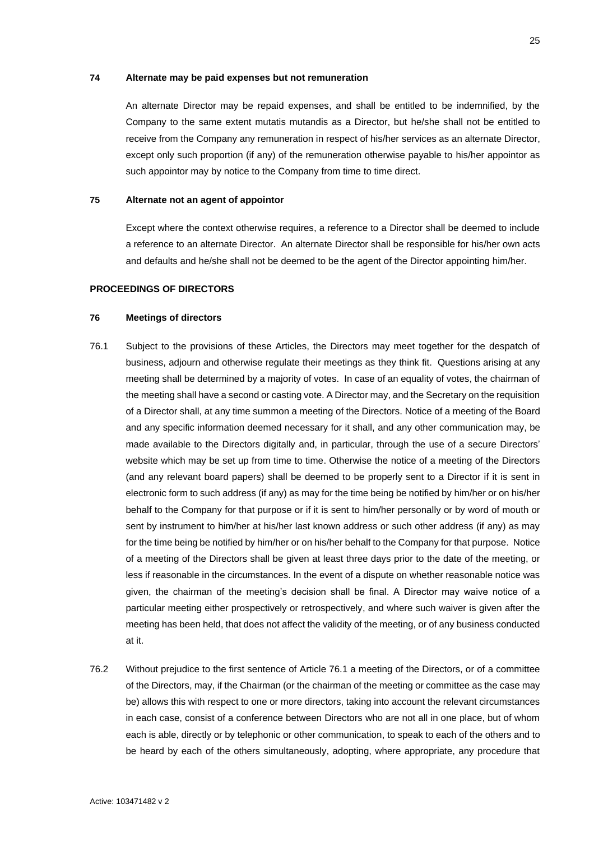### <span id="page-31-0"></span>**74 Alternate may be paid expenses but not remuneration**

An alternate Director may be repaid expenses, and shall be entitled to be indemnified, by the Company to the same extent mutatis mutandis as a Director, but he/she shall not be entitled to receive from the Company any remuneration in respect of his/her services as an alternate Director, except only such proportion (if any) of the remuneration otherwise payable to his/her appointor as such appointor may by notice to the Company from time to time direct.

#### <span id="page-31-1"></span>**75 Alternate not an agent of appointor**

Except where the context otherwise requires, a reference to a Director shall be deemed to include a reference to an alternate Director. An alternate Director shall be responsible for his/her own acts and defaults and he/she shall not be deemed to be the agent of the Director appointing him/her.

# <span id="page-31-2"></span>**PROCEEDINGS OF DIRECTORS**

# <span id="page-31-3"></span>**76 Meetings of directors**

- <span id="page-31-4"></span>76.1 Subject to the provisions of these Articles, the Directors may meet together for the despatch of business, adjourn and otherwise regulate their meetings as they think fit. Questions arising at any meeting shall be determined by a majority of votes. In case of an equality of votes, the chairman of the meeting shall have a second or casting vote. A Director may, and the Secretary on the requisition of a Director shall, at any time summon a meeting of the Directors. Notice of a meeting of the Board and any specific information deemed necessary for it shall, and any other communication may, be made available to the Directors digitally and, in particular, through the use of a secure Directors' website which may be set up from time to time. Otherwise the notice of a meeting of the Directors (and any relevant board papers) shall be deemed to be properly sent to a Director if it is sent in electronic form to such address (if any) as may for the time being be notified by him/her or on his/her behalf to the Company for that purpose or if it is sent to him/her personally or by word of mouth or sent by instrument to him/her at his/her last known address or such other address (if any) as may for the time being be notified by him/her or on his/her behalf to the Company for that purpose. Notice of a meeting of the Directors shall be given at least three days prior to the date of the meeting, or less if reasonable in the circumstances. In the event of a dispute on whether reasonable notice was given, the chairman of the meeting's decision shall be final. A Director may waive notice of a particular meeting either prospectively or retrospectively, and where such waiver is given after the meeting has been held, that does not affect the validity of the meeting, or of any business conducted at it.
- <span id="page-31-5"></span>76.2 Without prejudice to the first sentence of Article [76.1](#page-31-4) a meeting of the Directors, or of a committee of the Directors, may, if the Chairman (or the chairman of the meeting or committee as the case may be) allows this with respect to one or more directors, taking into account the relevant circumstances in each case, consist of a conference between Directors who are not all in one place, but of whom each is able, directly or by telephonic or other communication, to speak to each of the others and to be heard by each of the others simultaneously, adopting, where appropriate, any procedure that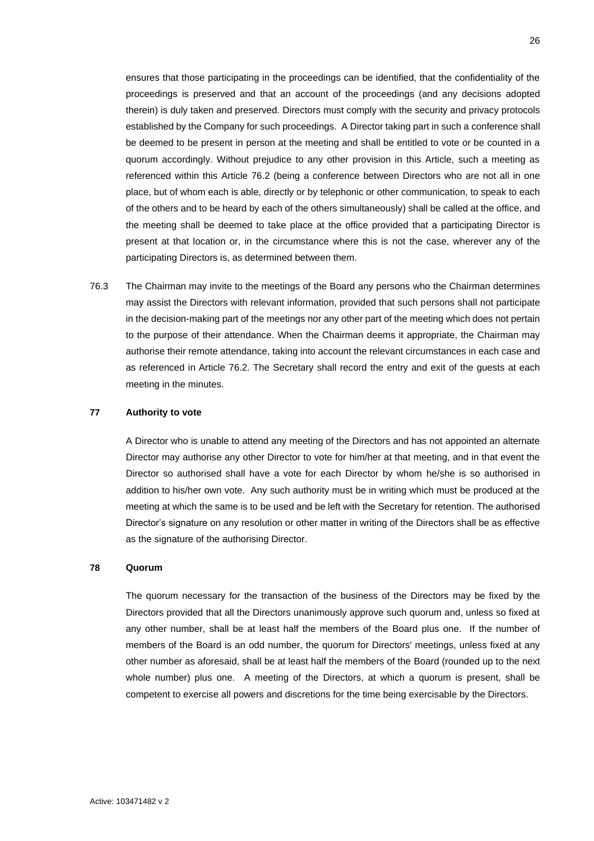ensures that those participating in the proceedings can be identified, that the confidentiality of the proceedings is preserved and that an account of the proceedings (and any decisions adopted therein) is duly taken and preserved. Directors must comply with the security and privacy protocols established by the Company for such proceedings. A Director taking part in such a conference shall be deemed to be present in person at the meeting and shall be entitled to vote or be counted in a quorum accordingly. Without prejudice to any other provision in this Article, such a meeting as referenced within this Article [76.2](#page-31-5) (being a conference between Directors who are not all in one place, but of whom each is able, directly or by telephonic or other communication, to speak to each of the others and to be heard by each of the others simultaneously) shall be called at the office, and the meeting shall be deemed to take place at the office provided that a participating Director is present at that location or, in the circumstance where this is not the case, wherever any of the participating Directors is, as determined between them.

<span id="page-32-2"></span>76.3 The Chairman may invite to the meetings of the Board any persons who the Chairman determines may assist the Directors with relevant information, provided that such persons shall not participate in the decision-making part of the meetings nor any other part of the meeting which does not pertain to the purpose of their attendance. When the Chairman deems it appropriate, the Chairman may authorise their remote attendance, taking into account the relevant circumstances in each case and as referenced in Article [76.2.](#page-31-5) The Secretary shall record the entry and exit of the guests at each meeting in the minutes.

## <span id="page-32-0"></span>**77 Authority to vote**

A Director who is unable to attend any meeting of the Directors and has not appointed an alternate Director may authorise any other Director to vote for him/her at that meeting, and in that event the Director so authorised shall have a vote for each Director by whom he/she is so authorised in addition to his/her own vote. Any such authority must be in writing which must be produced at the meeting at which the same is to be used and be left with the Secretary for retention. The authorised Director's signature on any resolution or other matter in writing of the Directors shall be as effective as the signature of the authorising Director.

### <span id="page-32-1"></span>**78 Quorum**

The quorum necessary for the transaction of the business of the Directors may be fixed by the Directors provided that all the Directors unanimously approve such quorum and, unless so fixed at any other number, shall be at least half the members of the Board plus one. If the number of members of the Board is an odd number, the quorum for Directors' meetings, unless fixed at any other number as aforesaid, shall be at least half the members of the Board (rounded up to the next whole number) plus one. A meeting of the Directors, at which a quorum is present, shall be competent to exercise all powers and discretions for the time being exercisable by the Directors.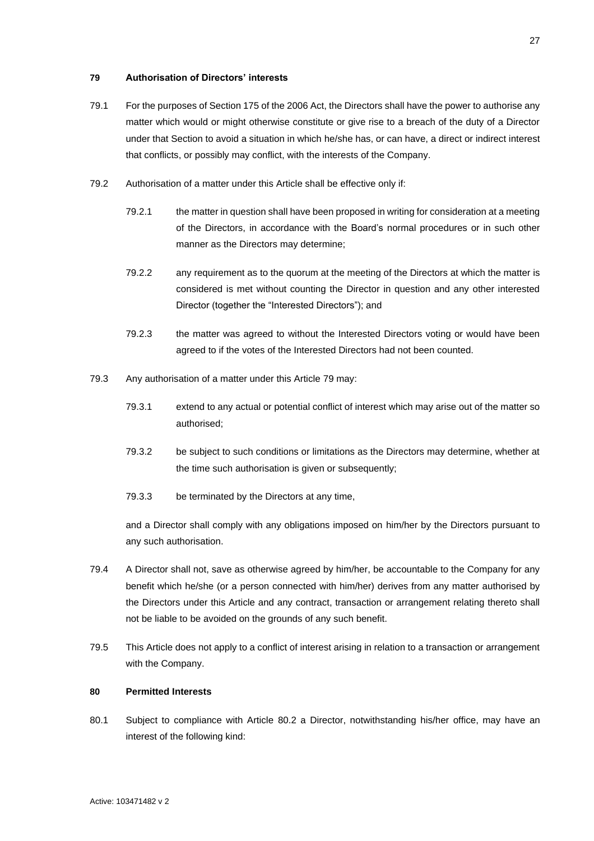# <span id="page-33-0"></span>**79 Authorisation of Directors' interests**

- <span id="page-33-2"></span>79.1 For the purposes of Section 175 of the 2006 Act, the Directors shall have the power to authorise any matter which would or might otherwise constitute or give rise to a breach of the duty of a Director under that Section to avoid a situation in which he/she has, or can have, a direct or indirect interest that conflicts, or possibly may conflict, with the interests of the Company.
- <span id="page-33-4"></span>79.2 Authorisation of a matter under this Article shall be effective only if:
	- 79.2.1 the matter in question shall have been proposed in writing for consideration at a meeting of the Directors, in accordance with the Board's normal procedures or in such other manner as the Directors may determine;
	- 79.2.2 any requirement as to the quorum at the meeting of the Directors at which the matter is considered is met without counting the Director in question and any other interested Director (together the "Interested Directors"); and
	- 79.2.3 the matter was agreed to without the Interested Directors voting or would have been agreed to if the votes of the Interested Directors had not been counted.
- 79.3 Any authorisation of a matter under this Article [79](#page-33-0) may:
	- 79.3.1 extend to any actual or potential conflict of interest which may arise out of the matter so authorised;
	- 79.3.2 be subject to such conditions or limitations as the Directors may determine, whether at the time such authorisation is given or subsequently;
	- 79.3.3 be terminated by the Directors at any time,

and a Director shall comply with any obligations imposed on him/her by the Directors pursuant to any such authorisation.

- 79.4 A Director shall not, save as otherwise agreed by him/her, be accountable to the Company for any benefit which he/she (or a person connected with him/her) derives from any matter authorised by the Directors under this Article and any contract, transaction or arrangement relating thereto shall not be liable to be avoided on the grounds of any such benefit.
- 79.5 This Article does not apply to a conflict of interest arising in relation to a transaction or arrangement with the Company.

### <span id="page-33-1"></span>**80 Permitted Interests**

<span id="page-33-3"></span>80.1 Subject to compliance with Article [80.2](#page-34-0) a Director, notwithstanding his/her office, may have an interest of the following kind: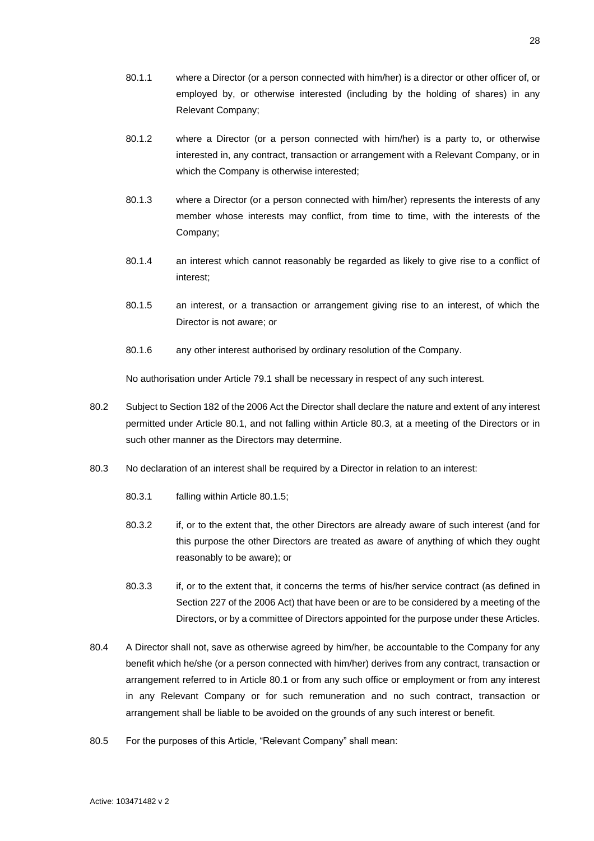- 80.1.1 where a Director (or a person connected with him/her) is a director or other officer of, or employed by, or otherwise interested (including by the holding of shares) in any Relevant Company;
- 80.1.2 where a Director (or a person connected with him/her) is a party to, or otherwise interested in, any contract, transaction or arrangement with a Relevant Company, or in which the Company is otherwise interested;
- 80.1.3 where a Director (or a person connected with him/her) represents the interests of any member whose interests may conflict, from time to time, with the interests of the Company;
- 80.1.4 an interest which cannot reasonably be regarded as likely to give rise to a conflict of interest;
- <span id="page-34-2"></span>80.1.5 an interest, or a transaction or arrangement giving rise to an interest, of which the Director is not aware; or
- 80.1.6 any other interest authorised by ordinary resolution of the Company.

No authorisation under Article [79.1](#page-33-2) shall be necessary in respect of any such interest.

- <span id="page-34-0"></span>80.2 Subject to Section 182 of the 2006 Act the Director shall declare the nature and extent of any interest permitted under Article [80.1,](#page-33-3) and not falling within Article [80.3,](#page-34-1) at a meeting of the Directors or in such other manner as the Directors may determine.
- <span id="page-34-1"></span>80.3 No declaration of an interest shall be required by a Director in relation to an interest:
	- 80.3.1 falling within Article [80.1.5;](#page-34-2)
	- 80.3.2 if, or to the extent that, the other Directors are already aware of such interest (and for this purpose the other Directors are treated as aware of anything of which they ought reasonably to be aware); or
	- 80.3.3 if, or to the extent that, it concerns the terms of his/her service contract (as defined in Section 227 of the 2006 Act) that have been or are to be considered by a meeting of the Directors, or by a committee of Directors appointed for the purpose under these Articles.
- 80.4 A Director shall not, save as otherwise agreed by him/her, be accountable to the Company for any benefit which he/she (or a person connected with him/her) derives from any contract, transaction or arrangement referred to in Article [80.1](#page-33-3) or from any such office or employment or from any interest in any Relevant Company or for such remuneration and no such contract, transaction or arrangement shall be liable to be avoided on the grounds of any such interest or benefit.
- 80.5 For the purposes of this Article, "Relevant Company" shall mean: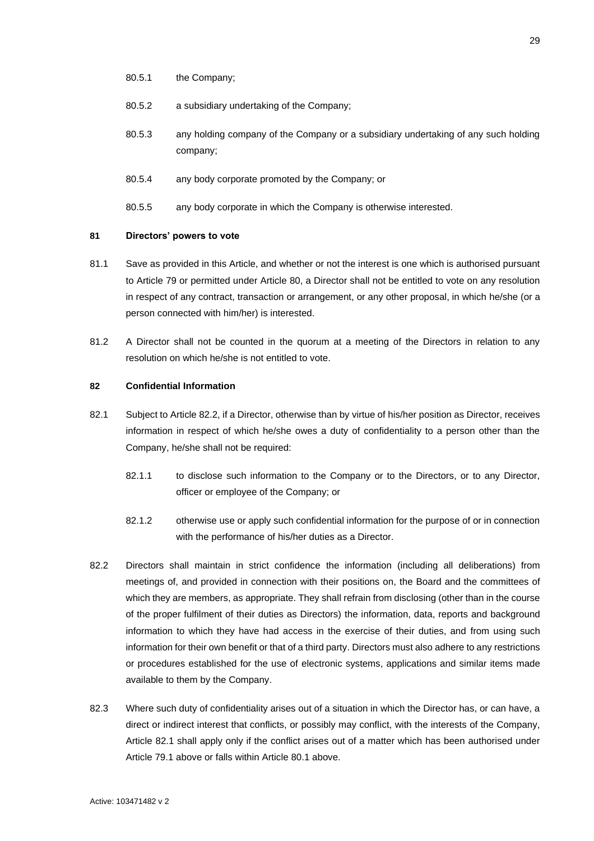- 80.5.1 the Company;
- 80.5.2 a subsidiary undertaking of the Company;
- 80.5.3 any holding company of the Company or a subsidiary undertaking of any such holding company;
- 80.5.4 any body corporate promoted by the Company; or
- 80.5.5 any body corporate in which the Company is otherwise interested.

### <span id="page-35-0"></span>**81 Directors' powers to vote**

- 81.1 Save as provided in this Article, and whether or not the interest is one which is authorised pursuant to Article [79](#page-33-0) or permitted under Article [80,](#page-33-1) a Director shall not be entitled to vote on any resolution in respect of any contract, transaction or arrangement, or any other proposal, in which he/she (or a person connected with him/her) is interested.
- 81.2 A Director shall not be counted in the quorum at a meeting of the Directors in relation to any resolution on which he/she is not entitled to vote.

### <span id="page-35-1"></span>**82 Confidential Information**

- <span id="page-35-3"></span>82.1 Subject to Article [82.2,](#page-35-2) if a Director, otherwise than by virtue of his/her position as Director, receives information in respect of which he/she owes a duty of confidentiality to a person other than the Company, he/she shall not be required:
	- 82.1.1 to disclose such information to the Company or to the Directors, or to any Director, officer or employee of the Company; or
	- 82.1.2 otherwise use or apply such confidential information for the purpose of or in connection with the performance of his/her duties as a Director.
- <span id="page-35-2"></span>82.2 Directors shall maintain in strict confidence the information (including all deliberations) from meetings of, and provided in connection with their positions on, the Board and the committees of which they are members, as appropriate. They shall refrain from disclosing (other than in the course of the proper fulfilment of their duties as Directors) the information, data, reports and background information to which they have had access in the exercise of their duties, and from using such information for their own benefit or that of a third party. Directors must also adhere to any restrictions or procedures established for the use of electronic systems, applications and similar items made available to them by the Company.
- 82.3 Where such duty of confidentiality arises out of a situation in which the Director has, or can have, a direct or indirect interest that conflicts, or possibly may conflict, with the interests of the Company, Article [82.1](#page-35-3) shall apply only if the conflict arises out of a matter which has been authorised under Article [79.1](#page-33-2) above or falls within Article [80.1](#page-33-3) above.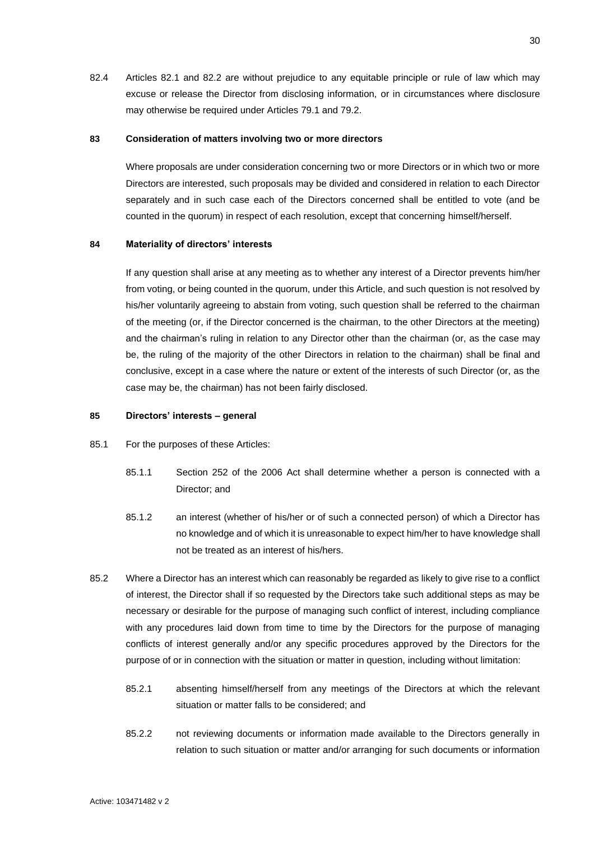82.4 Articles [82.1](#page-35-3) and [82.2](#page-35-2) are without prejudice to any equitable principle or rule of law which may excuse or release the Director from disclosing information, or in circumstances where disclosure may otherwise be required under Articles [79.1](#page-33-2) and [79.2.](#page-33-4)

### <span id="page-36-0"></span>**83 Consideration of matters involving two or more directors**

Where proposals are under consideration concerning two or more Directors or in which two or more Directors are interested, such proposals may be divided and considered in relation to each Director separately and in such case each of the Directors concerned shall be entitled to vote (and be counted in the quorum) in respect of each resolution, except that concerning himself/herself.

# <span id="page-36-1"></span>**84 Materiality of directors' interests**

If any question shall arise at any meeting as to whether any interest of a Director prevents him/her from voting, or being counted in the quorum, under this Article, and such question is not resolved by his/her voluntarily agreeing to abstain from voting, such question shall be referred to the chairman of the meeting (or, if the Director concerned is the chairman, to the other Directors at the meeting) and the chairman's ruling in relation to any Director other than the chairman (or, as the case may be, the ruling of the majority of the other Directors in relation to the chairman) shall be final and conclusive, except in a case where the nature or extent of the interests of such Director (or, as the case may be, the chairman) has not been fairly disclosed.

# <span id="page-36-2"></span>**85 Directors' interests – general**

- 85.1 For the purposes of these Articles:
	- 85.1.1 Section 252 of the 2006 Act shall determine whether a person is connected with a Director; and
	- 85.1.2 an interest (whether of his/her or of such a connected person) of which a Director has no knowledge and of which it is unreasonable to expect him/her to have knowledge shall not be treated as an interest of his/hers.
- 85.2 Where a Director has an interest which can reasonably be regarded as likely to give rise to a conflict of interest, the Director shall if so requested by the Directors take such additional steps as may be necessary or desirable for the purpose of managing such conflict of interest, including compliance with any procedures laid down from time to time by the Directors for the purpose of managing conflicts of interest generally and/or any specific procedures approved by the Directors for the purpose of or in connection with the situation or matter in question, including without limitation:
	- 85.2.1 absenting himself/herself from any meetings of the Directors at which the relevant situation or matter falls to be considered; and
	- 85.2.2 not reviewing documents or information made available to the Directors generally in relation to such situation or matter and/or arranging for such documents or information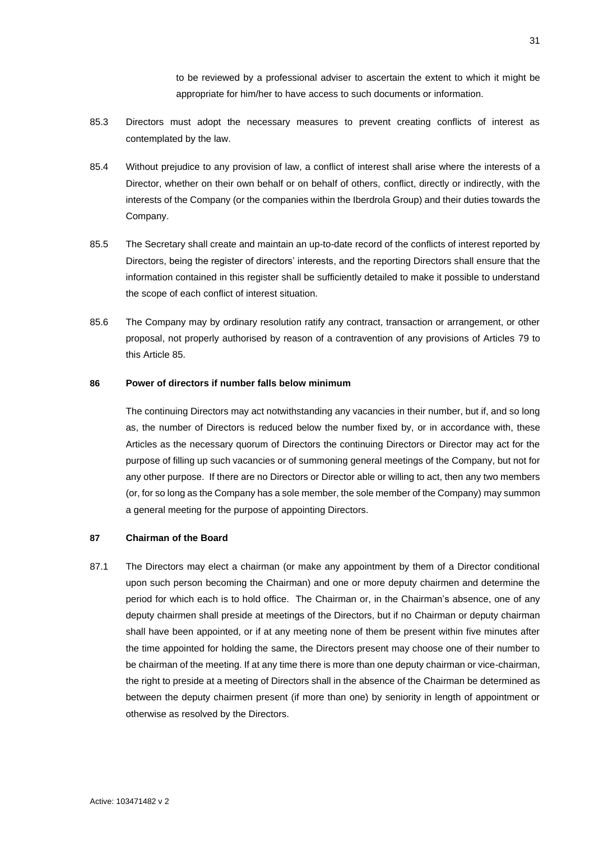to be reviewed by a professional adviser to ascertain the extent to which it might be appropriate for him/her to have access to such documents or information.

- 85.3 Directors must adopt the necessary measures to prevent creating conflicts of interest as contemplated by the law.
- 85.4 Without prejudice to any provision of law, a conflict of interest shall arise where the interests of a Director, whether on their own behalf or on behalf of others, conflict, directly or indirectly, with the interests of the Company (or the companies within the Iberdrola Group) and their duties towards the Company.
- 85.5 The Secretary shall create and maintain an up-to-date record of the conflicts of interest reported by Directors, being the register of directors' interests, and the reporting Directors shall ensure that the information contained in this register shall be sufficiently detailed to make it possible to understand the scope of each conflict of interest situation.
- 85.6 The Company may by ordinary resolution ratify any contract, transaction or arrangement, or other proposal, not properly authorised by reason of a contravention of any provisions of Articles [79](#page-33-0) to this Article [85.](#page-36-2)

# <span id="page-37-0"></span>**86 Power of directors if number falls below minimum**

The continuing Directors may act notwithstanding any vacancies in their number, but if, and so long as, the number of Directors is reduced below the number fixed by, or in accordance with, these Articles as the necessary quorum of Directors the continuing Directors or Director may act for the purpose of filling up such vacancies or of summoning general meetings of the Company, but not for any other purpose. If there are no Directors or Director able or willing to act, then any two members (or, for so long as the Company has a sole member, the sole member of the Company) may summon a general meeting for the purpose of appointing Directors.

### <span id="page-37-1"></span>**87 Chairman of the Board**

<span id="page-37-2"></span>87.1 The Directors may elect a chairman (or make any appointment by them of a Director conditional upon such person becoming the Chairman) and one or more deputy chairmen and determine the period for which each is to hold office. The Chairman or, in the Chairman's absence, one of any deputy chairmen shall preside at meetings of the Directors, but if no Chairman or deputy chairman shall have been appointed, or if at any meeting none of them be present within five minutes after the time appointed for holding the same, the Directors present may choose one of their number to be chairman of the meeting. If at any time there is more than one deputy chairman or vice-chairman, the right to preside at a meeting of Directors shall in the absence of the Chairman be determined as between the deputy chairmen present (if more than one) by seniority in length of appointment or otherwise as resolved by the Directors.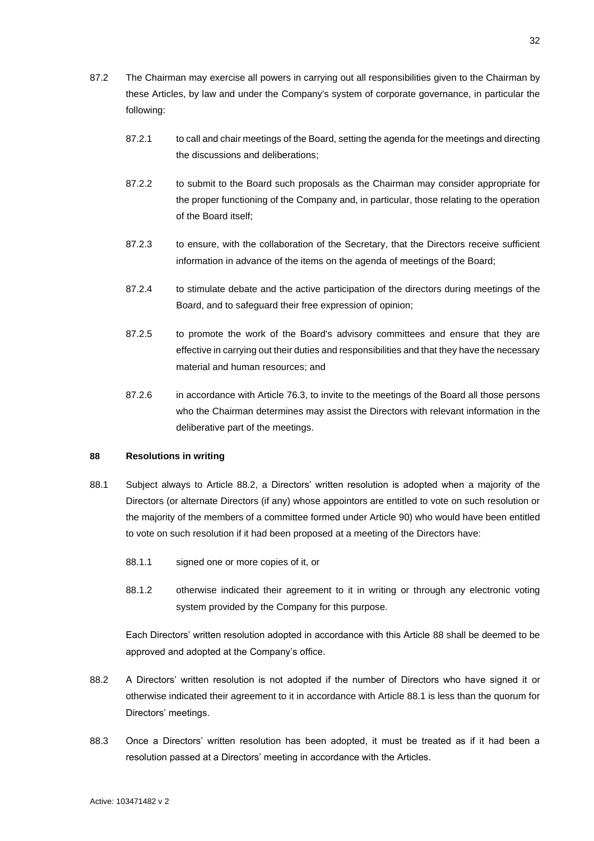- 87.2 The Chairman may exercise all powers in carrying out all responsibilities given to the Chairman by these Articles, by law and under the Company's system of corporate governance, in particular the following:
	- 87.2.1 to call and chair meetings of the Board, setting the agenda for the meetings and directing the discussions and deliberations;
	- 87.2.2 to submit to the Board such proposals as the Chairman may consider appropriate for the proper functioning of the Company and, in particular, those relating to the operation of the Board itself;
	- 87.2.3 to ensure, with the collaboration of the Secretary, that the Directors receive sufficient information in advance of the items on the agenda of meetings of the Board;
	- 87.2.4 to stimulate debate and the active participation of the directors during meetings of the Board, and to safeguard their free expression of opinion;
	- 87.2.5 to promote the work of the Board's advisory committees and ensure that they are effective in carrying out their duties and responsibilities and that they have the necessary material and human resources; and
	- 87.2.6 in accordance with Article [76.3,](#page-32-2) to invite to the meetings of the Board all those persons who the Chairman determines may assist the Directors with relevant information in the deliberative part of the meetings.

# <span id="page-38-0"></span>**88 Resolutions in writing**

- <span id="page-38-2"></span>88.1 Subject always to Article [88.2,](#page-38-1) a Directors' written resolution is adopted when a majority of the Directors (or alternate Directors (if any) whose appointors are entitled to vote on such resolution or the majority of the members of a committee formed under Article [90\)](#page-39-1) who would have been entitled to vote on such resolution if it had been proposed at a meeting of the Directors have:
	- 88.1.1 signed one or more copies of it, or
	- 88.1.2 otherwise indicated their agreement to it in writing or through any electronic voting system provided by the Company for this purpose.

Each Directors' written resolution adopted in accordance with this Article [88](#page-38-0) shall be deemed to be approved and adopted at the Company's office.

- <span id="page-38-1"></span>88.2 A Directors' written resolution is not adopted if the number of Directors who have signed it or otherwise indicated their agreement to it in accordance with Article [88.1](#page-38-2) is less than the quorum for Directors' meetings.
- 88.3 Once a Directors' written resolution has been adopted, it must be treated as if it had been a resolution passed at a Directors' meeting in accordance with the Articles.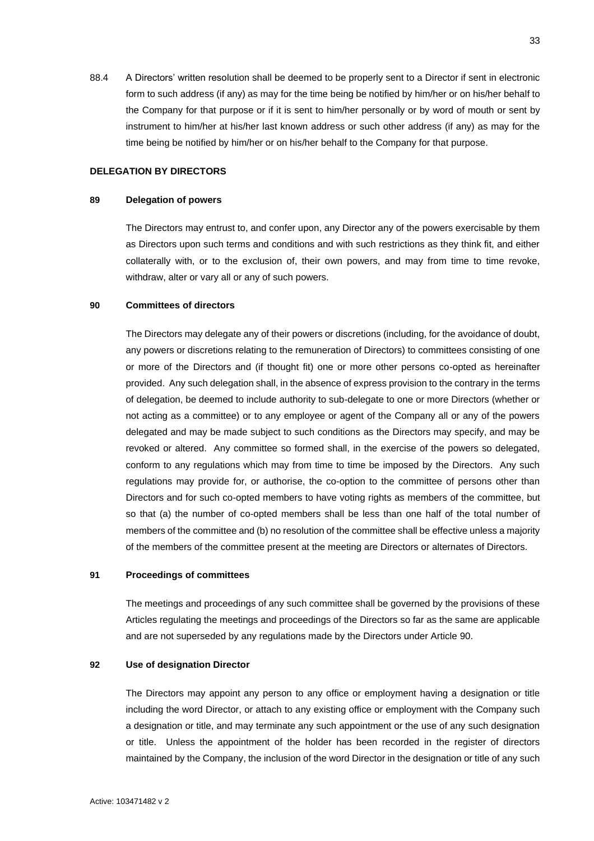88.4 A Directors' written resolution shall be deemed to be properly sent to a Director if sent in electronic form to such address (if any) as may for the time being be notified by him/her or on his/her behalf to the Company for that purpose or if it is sent to him/her personally or by word of mouth or sent by instrument to him/her at his/her last known address or such other address (if any) as may for the time being be notified by him/her or on his/her behalf to the Company for that purpose.

### **DELEGATION BY DIRECTORS**

### <span id="page-39-0"></span>**89 Delegation of powers**

The Directors may entrust to, and confer upon, any Director any of the powers exercisable by them as Directors upon such terms and conditions and with such restrictions as they think fit, and either collaterally with, or to the exclusion of, their own powers, and may from time to time revoke, withdraw, alter or vary all or any of such powers.

## <span id="page-39-1"></span>**90 Committees of directors**

The Directors may delegate any of their powers or discretions (including, for the avoidance of doubt, any powers or discretions relating to the remuneration of Directors) to committees consisting of one or more of the Directors and (if thought fit) one or more other persons co-opted as hereinafter provided. Any such delegation shall, in the absence of express provision to the contrary in the terms of delegation, be deemed to include authority to sub-delegate to one or more Directors (whether or not acting as a committee) or to any employee or agent of the Company all or any of the powers delegated and may be made subject to such conditions as the Directors may specify, and may be revoked or altered. Any committee so formed shall, in the exercise of the powers so delegated, conform to any regulations which may from time to time be imposed by the Directors. Any such regulations may provide for, or authorise, the co-option to the committee of persons other than Directors and for such co-opted members to have voting rights as members of the committee, but so that (a) the number of co-opted members shall be less than one half of the total number of members of the committee and (b) no resolution of the committee shall be effective unless a majority of the members of the committee present at the meeting are Directors or alternates of Directors.

# <span id="page-39-2"></span>**91 Proceedings of committees**

The meetings and proceedings of any such committee shall be governed by the provisions of these Articles regulating the meetings and proceedings of the Directors so far as the same are applicable and are not superseded by any regulations made by the Directors under Article [90.](#page-39-1)

## <span id="page-39-3"></span>**92 Use of designation Director**

The Directors may appoint any person to any office or employment having a designation or title including the word Director, or attach to any existing office or employment with the Company such a designation or title, and may terminate any such appointment or the use of any such designation or title. Unless the appointment of the holder has been recorded in the register of directors maintained by the Company, the inclusion of the word Director in the designation or title of any such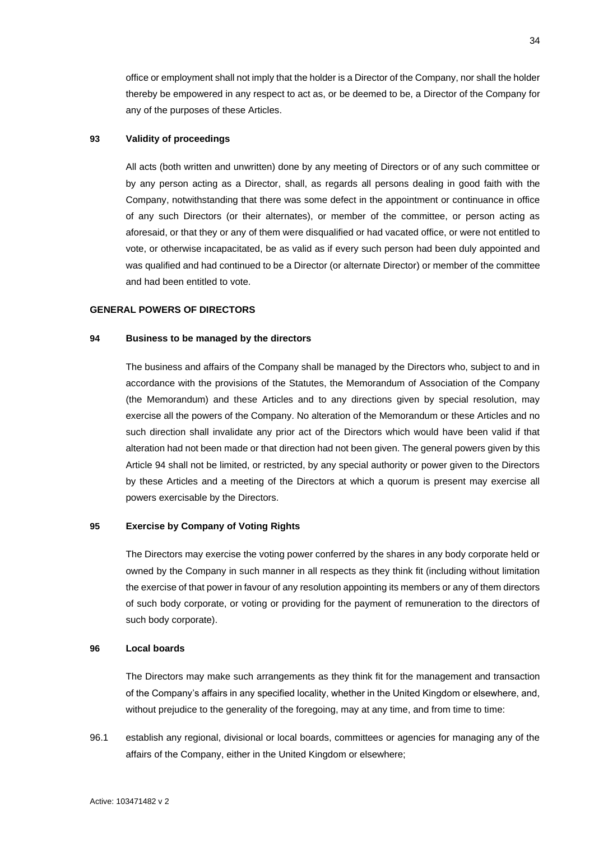office or employment shall not imply that the holder is a Director of the Company, nor shall the holder thereby be empowered in any respect to act as, or be deemed to be, a Director of the Company for any of the purposes of these Articles.

# <span id="page-40-0"></span>**93 Validity of proceedings**

All acts (both written and unwritten) done by any meeting of Directors or of any such committee or by any person acting as a Director, shall, as regards all persons dealing in good faith with the Company, notwithstanding that there was some defect in the appointment or continuance in office of any such Directors (or their alternates), or member of the committee, or person acting as aforesaid, or that they or any of them were disqualified or had vacated office, or were not entitled to vote, or otherwise incapacitated, be as valid as if every such person had been duly appointed and was qualified and had continued to be a Director (or alternate Director) or member of the committee and had been entitled to vote.

# <span id="page-40-1"></span>**GENERAL POWERS OF DIRECTORS**

# <span id="page-40-2"></span>**94 Business to be managed by the directors**

The business and affairs of the Company shall be managed by the Directors who, subject to and in accordance with the provisions of the Statutes, the Memorandum of Association of the Company (the Memorandum) and these Articles and to any directions given by special resolution, may exercise all the powers of the Company. No alteration of the Memorandum or these Articles and no such direction shall invalidate any prior act of the Directors which would have been valid if that alteration had not been made or that direction had not been given. The general powers given by this Article [94](#page-40-2) shall not be limited, or restricted, by any special authority or power given to the Directors by these Articles and a meeting of the Directors at which a quorum is present may exercise all powers exercisable by the Directors.

### <span id="page-40-3"></span>**95 Exercise by Company of Voting Rights**

The Directors may exercise the voting power conferred by the shares in any body corporate held or owned by the Company in such manner in all respects as they think fit (including without limitation the exercise of that power in favour of any resolution appointing its members or any of them directors of such body corporate, or voting or providing for the payment of remuneration to the directors of such body corporate).

### <span id="page-40-4"></span>**96 Local boards**

The Directors may make such arrangements as they think fit for the management and transaction of the Company's affairs in any specified locality, whether in the United Kingdom or elsewhere, and, without prejudice to the generality of the foregoing, may at any time, and from time to time:

96.1 establish any regional, divisional or local boards, committees or agencies for managing any of the affairs of the Company, either in the United Kingdom or elsewhere;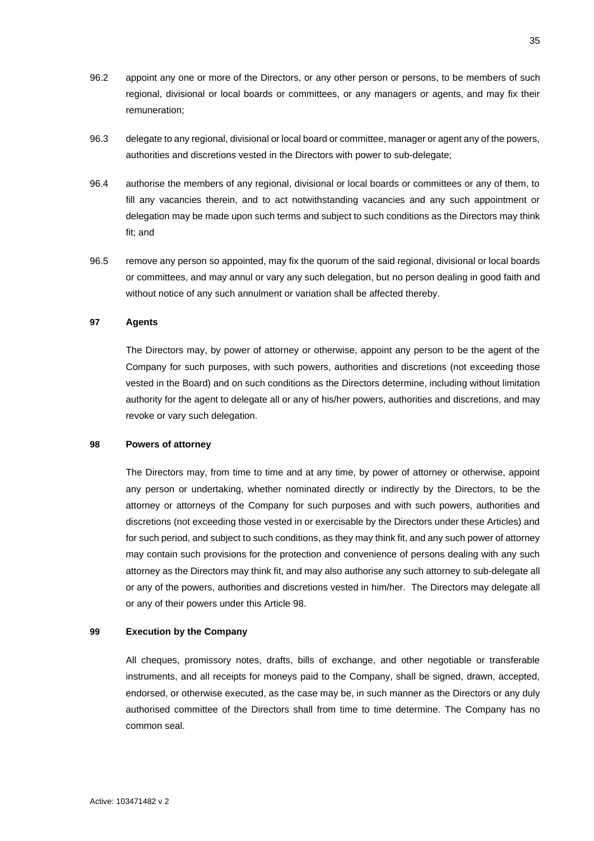- 96.2 appoint any one or more of the Directors, or any other person or persons, to be members of such regional, divisional or local boards or committees, or any managers or agents, and may fix their remuneration;
- 96.3 delegate to any regional, divisional or local board or committee, manager or agent any of the powers, authorities and discretions vested in the Directors with power to sub-delegate;
- 96.4 authorise the members of any regional, divisional or local boards or committees or any of them, to fill any vacancies therein, and to act notwithstanding vacancies and any such appointment or delegation may be made upon such terms and subject to such conditions as the Directors may think fit; and
- 96.5 remove any person so appointed, may fix the quorum of the said regional, divisional or local boards or committees, and may annul or vary any such delegation, but no person dealing in good faith and without notice of any such annulment or variation shall be affected thereby.

# <span id="page-41-0"></span>**97 Agents**

The Directors may, by power of attorney or otherwise, appoint any person to be the agent of the Company for such purposes, with such powers, authorities and discretions (not exceeding those vested in the Board) and on such conditions as the Directors determine, including without limitation authority for the agent to delegate all or any of his/her powers, authorities and discretions, and may revoke or vary such delegation.

# <span id="page-41-1"></span>**98 Powers of attorney**

The Directors may, from time to time and at any time, by power of attorney or otherwise, appoint any person or undertaking, whether nominated directly or indirectly by the Directors, to be the attorney or attorneys of the Company for such purposes and with such powers, authorities and discretions (not exceeding those vested in or exercisable by the Directors under these Articles) and for such period, and subject to such conditions, as they may think fit, and any such power of attorney may contain such provisions for the protection and convenience of persons dealing with any such attorney as the Directors may think fit, and may also authorise any such attorney to sub-delegate all or any of the powers, authorities and discretions vested in him/her. The Directors may delegate all or any of their powers under this Article [98.](#page-41-1)

# <span id="page-41-2"></span>**99 Execution by the Company**

All cheques, promissory notes, drafts, bills of exchange, and other negotiable or transferable instruments, and all receipts for moneys paid to the Company, shall be signed, drawn, accepted, endorsed, or otherwise executed, as the case may be, in such manner as the Directors or any duly authorised committee of the Directors shall from time to time determine. The Company has no common seal.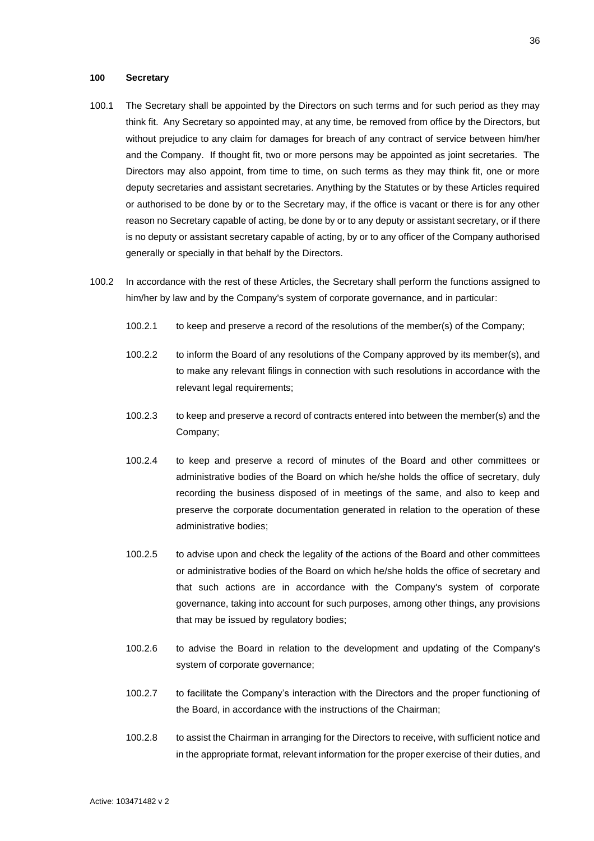### <span id="page-42-0"></span>**100 Secretary**

- 100.1 The Secretary shall be appointed by the Directors on such terms and for such period as they may think fit. Any Secretary so appointed may, at any time, be removed from office by the Directors, but without prejudice to any claim for damages for breach of any contract of service between him/her and the Company. If thought fit, two or more persons may be appointed as joint secretaries. The Directors may also appoint, from time to time, on such terms as they may think fit, one or more deputy secretaries and assistant secretaries. Anything by the Statutes or by these Articles required or authorised to be done by or to the Secretary may, if the office is vacant or there is for any other reason no Secretary capable of acting, be done by or to any deputy or assistant secretary, or if there is no deputy or assistant secretary capable of acting, by or to any officer of the Company authorised generally or specially in that behalf by the Directors.
- <span id="page-42-2"></span><span id="page-42-1"></span>100.2 In accordance with the rest of these Articles, the Secretary shall perform the functions assigned to him/her by law and by the Company's system of corporate governance, and in particular:
	- 100.2.1 to keep and preserve a record of the resolutions of the member(s) of the Company;
	- 100.2.2 to inform the Board of any resolutions of the Company approved by its member(s), and to make any relevant filings in connection with such resolutions in accordance with the relevant legal requirements;
	- 100.2.3 to keep and preserve a record of contracts entered into between the member(s) and the Company;
	- 100.2.4 to keep and preserve a record of minutes of the Board and other committees or administrative bodies of the Board on which he/she holds the office of secretary, duly recording the business disposed of in meetings of the same, and also to keep and preserve the corporate documentation generated in relation to the operation of these administrative bodies;
	- 100.2.5 to advise upon and check the legality of the actions of the Board and other committees or administrative bodies of the Board on which he/she holds the office of secretary and that such actions are in accordance with the Company's system of corporate governance, taking into account for such purposes, among other things, any provisions that may be issued by regulatory bodies;
	- 100.2.6 to advise the Board in relation to the development and updating of the Company's system of corporate governance;
	- 100.2.7 to facilitate the Company's interaction with the Directors and the proper functioning of the Board, in accordance with the instructions of the Chairman;
	- 100.2.8 to assist the Chairman in arranging for the Directors to receive, with sufficient notice and in the appropriate format, relevant information for the proper exercise of their duties, and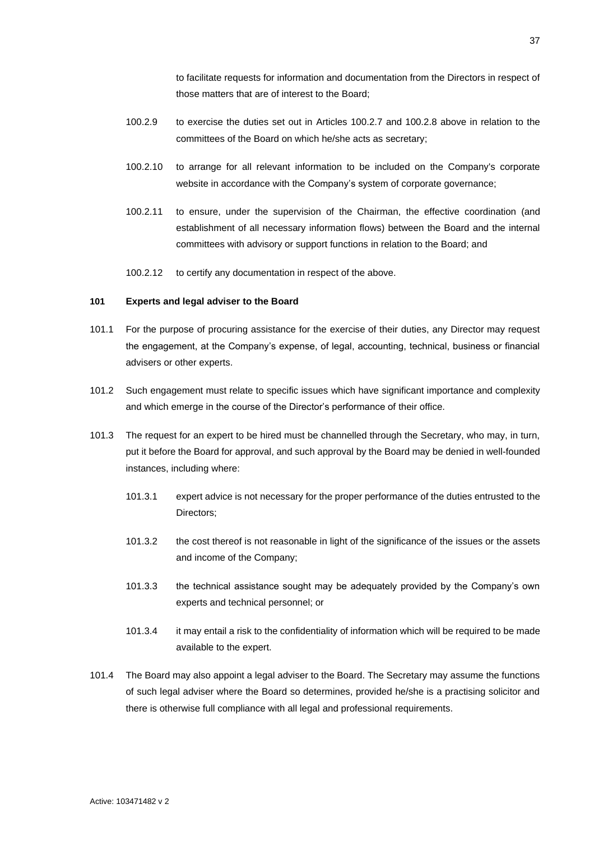to facilitate requests for information and documentation from the Directors in respect of those matters that are of interest to the Board;

- 100.2.9 to exercise the duties set out in Articles [100.2.7](#page-42-1) and [100.2.8](#page-42-2) above in relation to the committees of the Board on which he/she acts as secretary;
- 100.2.10 to arrange for all relevant information to be included on the Company's corporate website in accordance with the Company's system of corporate governance;
- 100.2.11 to ensure, under the supervision of the Chairman, the effective coordination (and establishment of all necessary information flows) between the Board and the internal committees with advisory or support functions in relation to the Board; and
- 100.2.12 to certify any documentation in respect of the above.

# <span id="page-43-0"></span>**101 Experts and legal adviser to the Board**

- 101.1 For the purpose of procuring assistance for the exercise of their duties, any Director may request the engagement, at the Company's expense, of legal, accounting, technical, business or financial advisers or other experts.
- 101.2 Such engagement must relate to specific issues which have significant importance and complexity and which emerge in the course of the Director's performance of their office.
- 101.3 The request for an expert to be hired must be channelled through the Secretary, who may, in turn, put it before the Board for approval, and such approval by the Board may be denied in well-founded instances, including where:
	- 101.3.1 expert advice is not necessary for the proper performance of the duties entrusted to the Directors;
	- 101.3.2 the cost thereof is not reasonable in light of the significance of the issues or the assets and income of the Company;
	- 101.3.3 the technical assistance sought may be adequately provided by the Company's own experts and technical personnel; or
	- 101.3.4 it may entail a risk to the confidentiality of information which will be required to be made available to the expert.
- 101.4 The Board may also appoint a legal adviser to the Board. The Secretary may assume the functions of such legal adviser where the Board so determines, provided he/she is a practising solicitor and there is otherwise full compliance with all legal and professional requirements.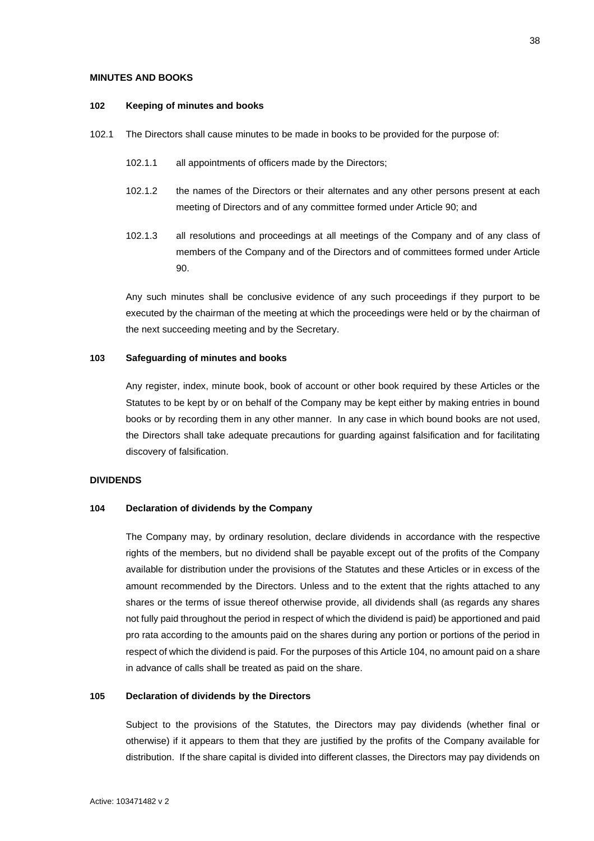### <span id="page-44-0"></span>**MINUTES AND BOOKS**

### <span id="page-44-1"></span>**102 Keeping of minutes and books**

- 102.1 The Directors shall cause minutes to be made in books to be provided for the purpose of:
	- 102.1.1 all appointments of officers made by the Directors;
	- 102.1.2 the names of the Directors or their alternates and any other persons present at each meeting of Directors and of any committee formed under Article [90;](#page-39-1) and
	- 102.1.3 all resolutions and proceedings at all meetings of the Company and of any class of members of the Company and of the Directors and of committees formed under Article [90.](#page-39-1)

Any such minutes shall be conclusive evidence of any such proceedings if they purport to be executed by the chairman of the meeting at which the proceedings were held or by the chairman of the next succeeding meeting and by the Secretary.

# <span id="page-44-2"></span>**103 Safeguarding of minutes and books**

Any register, index, minute book, book of account or other book required by these Articles or the Statutes to be kept by or on behalf of the Company may be kept either by making entries in bound books or by recording them in any other manner. In any case in which bound books are not used, the Directors shall take adequate precautions for guarding against falsification and for facilitating discovery of falsification.

# <span id="page-44-3"></span>**DIVIDENDS**

# <span id="page-44-4"></span>**104 Declaration of dividends by the Company**

The Company may, by ordinary resolution, declare dividends in accordance with the respective rights of the members, but no dividend shall be payable except out of the profits of the Company available for distribution under the provisions of the Statutes and these Articles or in excess of the amount recommended by the Directors. Unless and to the extent that the rights attached to any shares or the terms of issue thereof otherwise provide, all dividends shall (as regards any shares not fully paid throughout the period in respect of which the dividend is paid) be apportioned and paid pro rata according to the amounts paid on the shares during any portion or portions of the period in respect of which the dividend is paid. For the purposes of this Articl[e 104,](#page-44-4) no amount paid on a share in advance of calls shall be treated as paid on the share.

# <span id="page-44-5"></span>**105 Declaration of dividends by the Directors**

Subject to the provisions of the Statutes, the Directors may pay dividends (whether final or otherwise) if it appears to them that they are justified by the profits of the Company available for distribution. If the share capital is divided into different classes, the Directors may pay dividends on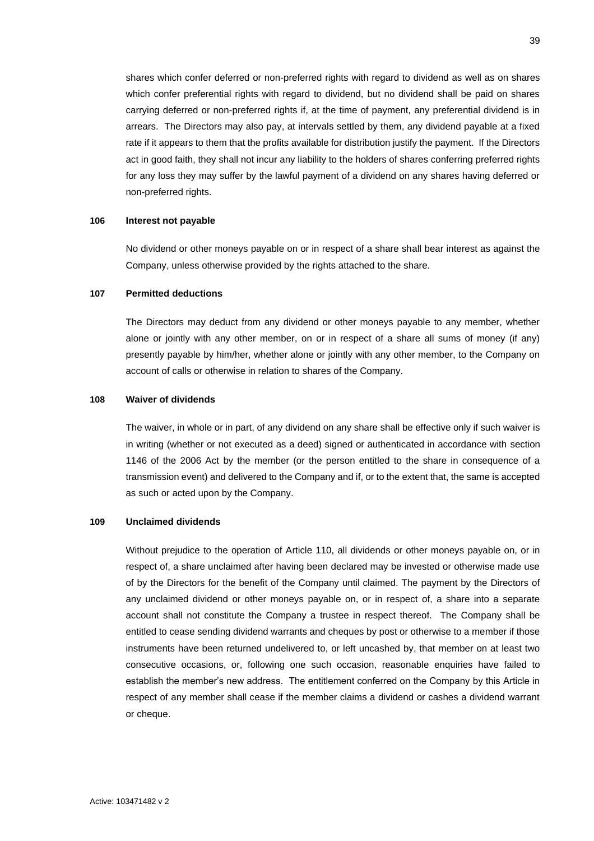shares which confer deferred or non-preferred rights with regard to dividend as well as on shares which confer preferential rights with regard to dividend, but no dividend shall be paid on shares carrying deferred or non-preferred rights if, at the time of payment, any preferential dividend is in arrears. The Directors may also pay, at intervals settled by them, any dividend payable at a fixed rate if it appears to them that the profits available for distribution justify the payment. If the Directors act in good faith, they shall not incur any liability to the holders of shares conferring preferred rights for any loss they may suffer by the lawful payment of a dividend on any shares having deferred or non-preferred rights.

# <span id="page-45-0"></span>**106 Interest not payable**

No dividend or other moneys payable on or in respect of a share shall bear interest as against the Company, unless otherwise provided by the rights attached to the share.

# <span id="page-45-1"></span>**107 Permitted deductions**

The Directors may deduct from any dividend or other moneys payable to any member, whether alone or jointly with any other member, on or in respect of a share all sums of money (if any) presently payable by him/her, whether alone or jointly with any other member, to the Company on account of calls or otherwise in relation to shares of the Company.

# <span id="page-45-2"></span>**108 Waiver of dividends**

The waiver, in whole or in part, of any dividend on any share shall be effective only if such waiver is in writing (whether or not executed as a deed) signed or authenticated in accordance with section 1146 of the 2006 Act by the member (or the person entitled to the share in consequence of a transmission event) and delivered to the Company and if, or to the extent that, the same is accepted as such or acted upon by the Company.

### <span id="page-45-3"></span>**109 Unclaimed dividends**

Without prejudice to the operation of Article [110,](#page-46-0) all dividends or other moneys payable on, or in respect of, a share unclaimed after having been declared may be invested or otherwise made use of by the Directors for the benefit of the Company until claimed. The payment by the Directors of any unclaimed dividend or other moneys payable on, or in respect of, a share into a separate account shall not constitute the Company a trustee in respect thereof. The Company shall be entitled to cease sending dividend warrants and cheques by post or otherwise to a member if those instruments have been returned undelivered to, or left uncashed by, that member on at least two consecutive occasions, or, following one such occasion, reasonable enquiries have failed to establish the member's new address. The entitlement conferred on the Company by this Article in respect of any member shall cease if the member claims a dividend or cashes a dividend warrant or cheque.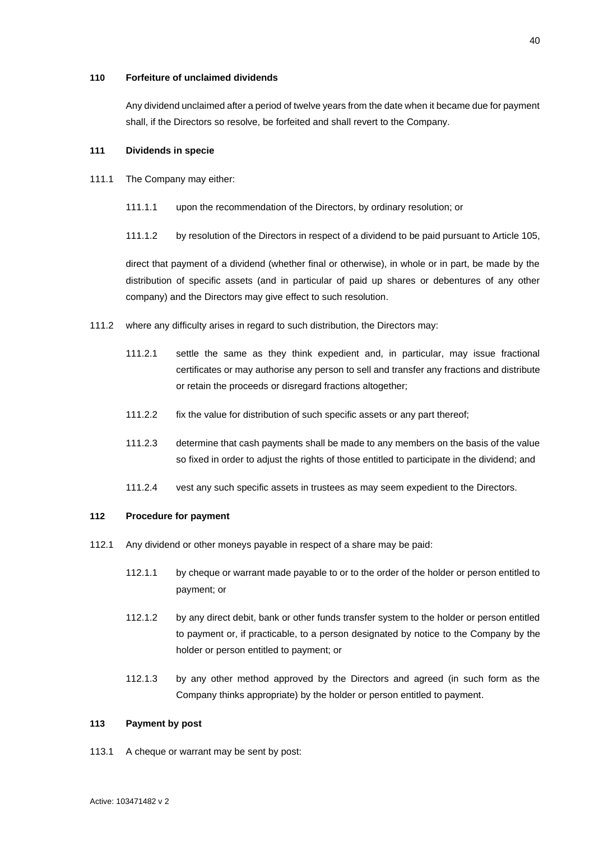### <span id="page-46-0"></span>**110 Forfeiture of unclaimed dividends**

Any dividend unclaimed after a period of twelve years from the date when it became due for payment shall, if the Directors so resolve, be forfeited and shall revert to the Company.

# <span id="page-46-1"></span>**111 Dividends in specie**

- 111.1 The Company may either:
	- 111.1.1 upon the recommendation of the Directors, by ordinary resolution; or
	- 111.1.2 by resolution of the Directors in respect of a dividend to be paid pursuant to Article [105,](#page-44-5)

direct that payment of a dividend (whether final or otherwise), in whole or in part, be made by the distribution of specific assets (and in particular of paid up shares or debentures of any other company) and the Directors may give effect to such resolution.

- 111.2 where any difficulty arises in regard to such distribution, the Directors may:
	- 111.2.1 settle the same as they think expedient and, in particular, may issue fractional certificates or may authorise any person to sell and transfer any fractions and distribute or retain the proceeds or disregard fractions altogether;
	- 111.2.2 fix the value for distribution of such specific assets or any part thereof;
	- 111.2.3 determine that cash payments shall be made to any members on the basis of the value so fixed in order to adjust the rights of those entitled to participate in the dividend; and
	- 111.2.4 vest any such specific assets in trustees as may seem expedient to the Directors.

### <span id="page-46-2"></span>**112 Procedure for payment**

- 112.1 Any dividend or other moneys payable in respect of a share may be paid:
	- 112.1.1 by cheque or warrant made payable to or to the order of the holder or person entitled to payment; or
	- 112.1.2 by any direct debit, bank or other funds transfer system to the holder or person entitled to payment or, if practicable, to a person designated by notice to the Company by the holder or person entitled to payment; or
	- 112.1.3 by any other method approved by the Directors and agreed (in such form as the Company thinks appropriate) by the holder or person entitled to payment.

### <span id="page-46-3"></span>**113 Payment by post**

113.1 A cheque or warrant may be sent by post: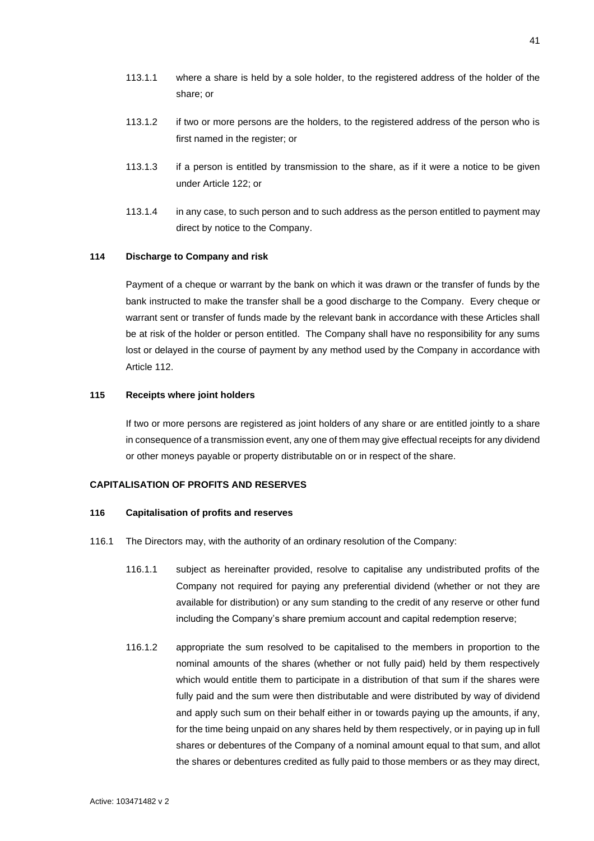- 113.1.1 where a share is held by a sole holder, to the registered address of the holder of the share; or
- 113.1.2 if two or more persons are the holders, to the registered address of the person who is first named in the register; or
- 113.1.3 if a person is entitled by transmission to the share, as if it were a notice to be given under Article [122;](#page-50-1) or
- 113.1.4 in any case, to such person and to such address as the person entitled to payment may direct by notice to the Company.

# <span id="page-47-0"></span>**114 Discharge to Company and risk**

Payment of a cheque or warrant by the bank on which it was drawn or the transfer of funds by the bank instructed to make the transfer shall be a good discharge to the Company. Every cheque or warrant sent or transfer of funds made by the relevant bank in accordance with these Articles shall be at risk of the holder or person entitled. The Company shall have no responsibility for any sums lost or delayed in the course of payment by any method used by the Company in accordance with Article [112.](#page-46-2)

#### <span id="page-47-1"></span>**115 Receipts where joint holders**

If two or more persons are registered as joint holders of any share or are entitled jointly to a share in consequence of a transmission event, any one of them may give effectual receipts for any dividend or other moneys payable or property distributable on or in respect of the share.

### <span id="page-47-2"></span>**CAPITALISATION OF PROFITS AND RESERVES**

#### <span id="page-47-3"></span>**116 Capitalisation of profits and reserves**

- <span id="page-47-5"></span><span id="page-47-4"></span>116.1 The Directors may, with the authority of an ordinary resolution of the Company:
	- 116.1.1 subject as hereinafter provided, resolve to capitalise any undistributed profits of the Company not required for paying any preferential dividend (whether or not they are available for distribution) or any sum standing to the credit of any reserve or other fund including the Company's share premium account and capital redemption reserve;
	- 116.1.2 appropriate the sum resolved to be capitalised to the members in proportion to the nominal amounts of the shares (whether or not fully paid) held by them respectively which would entitle them to participate in a distribution of that sum if the shares were fully paid and the sum were then distributable and were distributed by way of dividend and apply such sum on their behalf either in or towards paying up the amounts, if any, for the time being unpaid on any shares held by them respectively, or in paying up in full shares or debentures of the Company of a nominal amount equal to that sum, and allot the shares or debentures credited as fully paid to those members or as they may direct,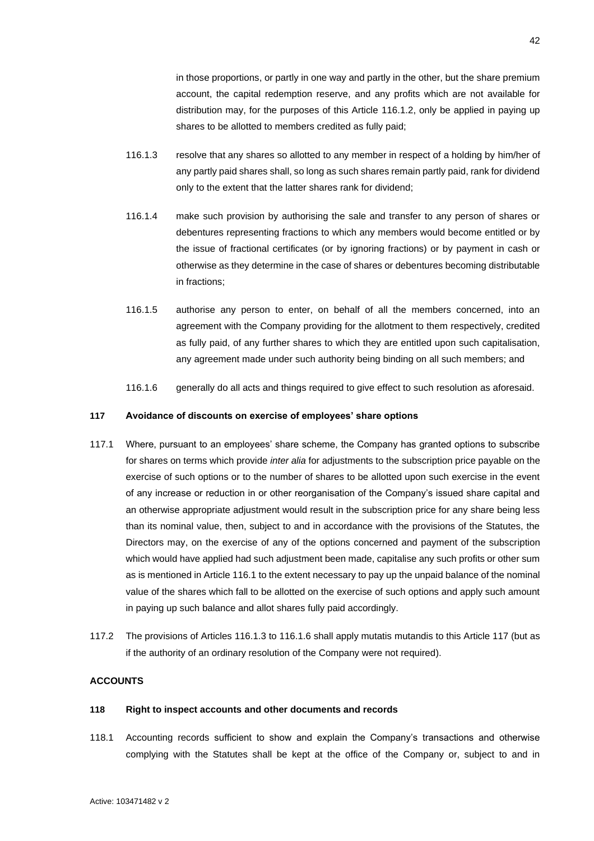in those proportions, or partly in one way and partly in the other, but the share premium account, the capital redemption reserve, and any profits which are not available for distribution may, for the purposes of this Article [116.1.2,](#page-47-4) only be applied in paying up shares to be allotted to members credited as fully paid;

- <span id="page-48-3"></span>116.1.3 resolve that any shares so allotted to any member in respect of a holding by him/her of any partly paid shares shall, so long as such shares remain partly paid, rank for dividend only to the extent that the latter shares rank for dividend;
- 116.1.4 make such provision by authorising the sale and transfer to any person of shares or debentures representing fractions to which any members would become entitled or by the issue of fractional certificates (or by ignoring fractions) or by payment in cash or otherwise as they determine in the case of shares or debentures becoming distributable in fractions;
- 116.1.5 authorise any person to enter, on behalf of all the members concerned, into an agreement with the Company providing for the allotment to them respectively, credited as fully paid, of any further shares to which they are entitled upon such capitalisation, any agreement made under such authority being binding on all such members; and
- 116.1.6 generally do all acts and things required to give effect to such resolution as aforesaid.

# <span id="page-48-4"></span><span id="page-48-0"></span>**117 Avoidance of discounts on exercise of employees' share options**

- 117.1 Where, pursuant to an employees' share scheme, the Company has granted options to subscribe for shares on terms which provide *inter alia* for adjustments to the subscription price payable on the exercise of such options or to the number of shares to be allotted upon such exercise in the event of any increase or reduction in or other reorganisation of the Company's issued share capital and an otherwise appropriate adjustment would result in the subscription price for any share being less than its nominal value, then, subject to and in accordance with the provisions of the Statutes, the Directors may, on the exercise of any of the options concerned and payment of the subscription which would have applied had such adjustment been made, capitalise any such profits or other sum as is mentioned in Article [116.1](#page-47-5) to the extent necessary to pay up the unpaid balance of the nominal value of the shares which fall to be allotted on the exercise of such options and apply such amount in paying up such balance and allot shares fully paid accordingly.
- 117.2 The provisions of Articles [116.1.3](#page-48-3) t[o 116.1.6](#page-48-4) shall apply mutatis mutandis to this Article [117](#page-48-0) (but as if the authority of an ordinary resolution of the Company were not required).

### <span id="page-48-1"></span>**ACCOUNTS**

# <span id="page-48-2"></span>**118 Right to inspect accounts and other documents and records**

118.1 Accounting records sufficient to show and explain the Company's transactions and otherwise complying with the Statutes shall be kept at the office of the Company or, subject to and in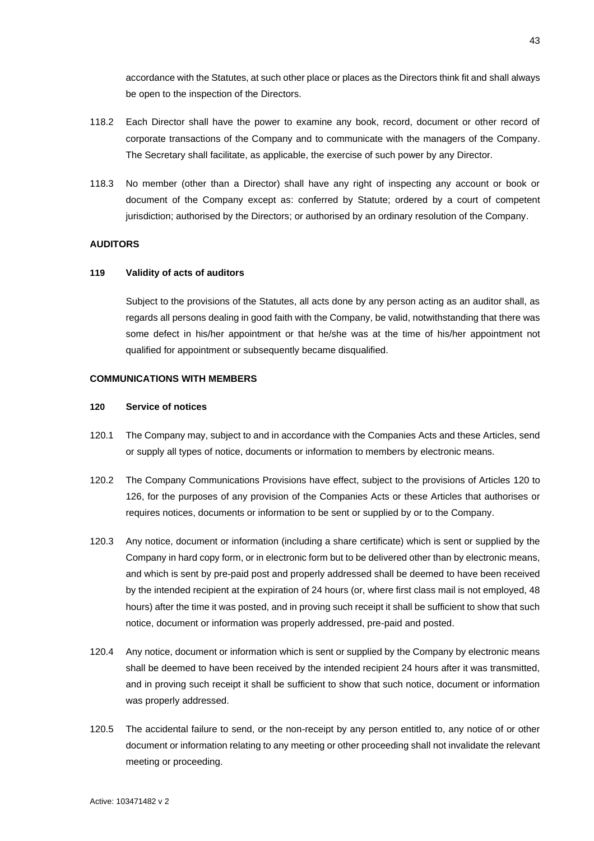accordance with the Statutes, at such other place or places as the Directors think fit and shall always be open to the inspection of the Directors.

- 118.2 Each Director shall have the power to examine any book, record, document or other record of corporate transactions of the Company and to communicate with the managers of the Company. The Secretary shall facilitate, as applicable, the exercise of such power by any Director.
- 118.3 No member (other than a Director) shall have any right of inspecting any account or book or document of the Company except as: conferred by Statute; ordered by a court of competent jurisdiction; authorised by the Directors; or authorised by an ordinary resolution of the Company.

# <span id="page-49-0"></span>**AUDITORS**

# <span id="page-49-1"></span>**119 Validity of acts of auditors**

Subject to the provisions of the Statutes, all acts done by any person acting as an auditor shall, as regards all persons dealing in good faith with the Company, be valid, notwithstanding that there was some defect in his/her appointment or that he/she was at the time of his/her appointment not qualified for appointment or subsequently became disqualified.

# <span id="page-49-2"></span>**COMMUNICATIONS WITH MEMBERS**

### <span id="page-49-3"></span>**120 Service of notices**

- 120.1 The Company may, subject to and in accordance with the Companies Acts and these Articles, send or supply all types of notice, documents or information to members by electronic means.
- 120.2 The Company Communications Provisions have effect, subject to the provisions of Articles [120](#page-49-3) to [126,](#page-51-2) for the purposes of any provision of the Companies Acts or these Articles that authorises or requires notices, documents or information to be sent or supplied by or to the Company.
- 120.3 Any notice, document or information (including a share certificate) which is sent or supplied by the Company in hard copy form, or in electronic form but to be delivered other than by electronic means, and which is sent by pre-paid post and properly addressed shall be deemed to have been received by the intended recipient at the expiration of 24 hours (or, where first class mail is not employed, 48 hours) after the time it was posted, and in proving such receipt it shall be sufficient to show that such notice, document or information was properly addressed, pre-paid and posted.
- 120.4 Any notice, document or information which is sent or supplied by the Company by electronic means shall be deemed to have been received by the intended recipient 24 hours after it was transmitted, and in proving such receipt it shall be sufficient to show that such notice, document or information was properly addressed.
- 120.5 The accidental failure to send, or the non-receipt by any person entitled to, any notice of or other document or information relating to any meeting or other proceeding shall not invalidate the relevant meeting or proceeding.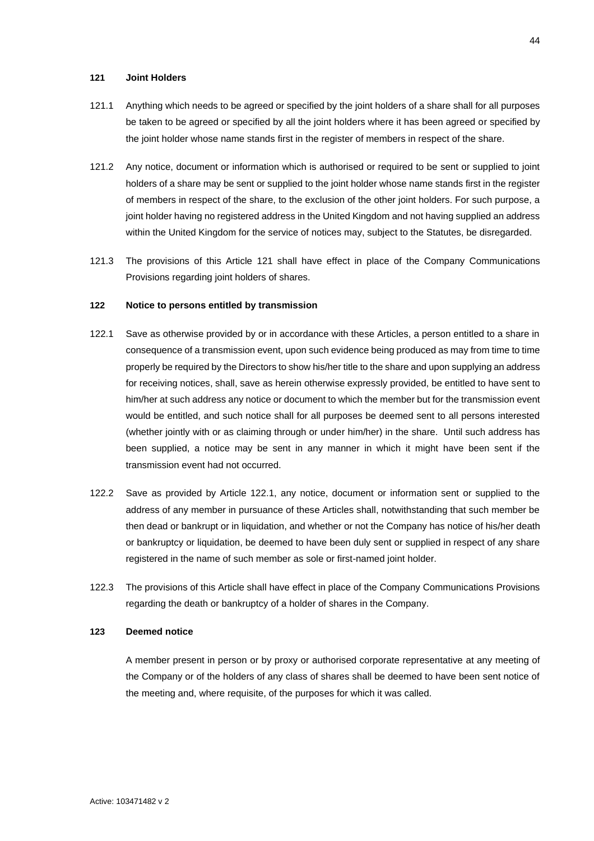# <span id="page-50-0"></span>**121 Joint Holders**

- 121.1 Anything which needs to be agreed or specified by the joint holders of a share shall for all purposes be taken to be agreed or specified by all the joint holders where it has been agreed or specified by the joint holder whose name stands first in the register of members in respect of the share.
- 121.2 Any notice, document or information which is authorised or required to be sent or supplied to joint holders of a share may be sent or supplied to the joint holder whose name stands first in the register of members in respect of the share, to the exclusion of the other joint holders. For such purpose, a joint holder having no registered address in the United Kingdom and not having supplied an address within the United Kingdom for the service of notices may, subject to the Statutes, be disregarded.
- 121.3 The provisions of this Article [121](#page-50-0) shall have effect in place of the Company Communications Provisions regarding joint holders of shares.

### <span id="page-50-1"></span>**122 Notice to persons entitled by transmission**

- <span id="page-50-3"></span>122.1 Save as otherwise provided by or in accordance with these Articles, a person entitled to a share in consequence of a transmission event, upon such evidence being produced as may from time to time properly be required by the Directors to show his/her title to the share and upon supplying an address for receiving notices, shall, save as herein otherwise expressly provided, be entitled to have sent to him/her at such address any notice or document to which the member but for the transmission event would be entitled, and such notice shall for all purposes be deemed sent to all persons interested (whether jointly with or as claiming through or under him/her) in the share. Until such address has been supplied, a notice may be sent in any manner in which it might have been sent if the transmission event had not occurred.
- 122.2 Save as provided by Article [122.1,](#page-50-3) any notice, document or information sent or supplied to the address of any member in pursuance of these Articles shall, notwithstanding that such member be then dead or bankrupt or in liquidation, and whether or not the Company has notice of his/her death or bankruptcy or liquidation, be deemed to have been duly sent or supplied in respect of any share registered in the name of such member as sole or first-named joint holder.
- 122.3 The provisions of this Article shall have effect in place of the Company Communications Provisions regarding the death or bankruptcy of a holder of shares in the Company.

# <span id="page-50-2"></span>**123 Deemed notice**

A member present in person or by proxy or authorised corporate representative at any meeting of the Company or of the holders of any class of shares shall be deemed to have been sent notice of the meeting and, where requisite, of the purposes for which it was called.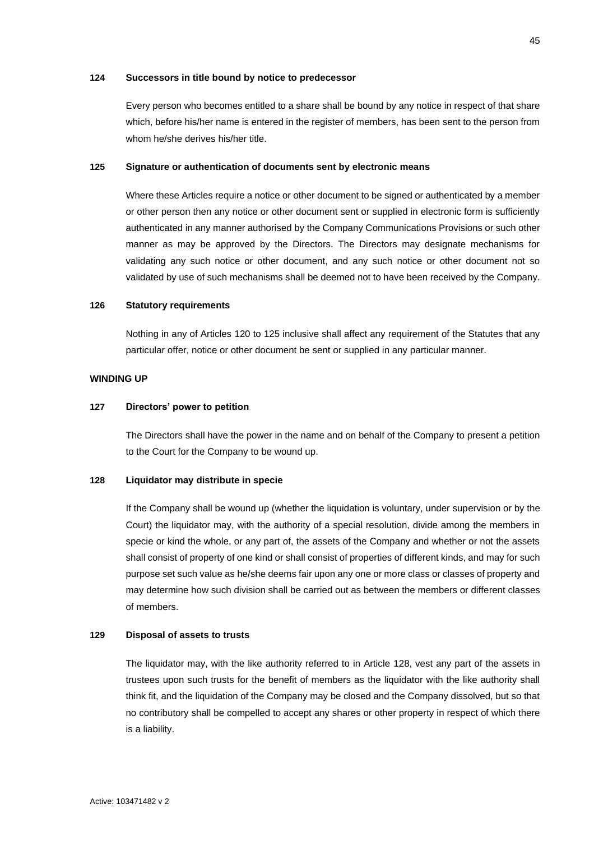### <span id="page-51-0"></span>**124 Successors in title bound by notice to predecessor**

Every person who becomes entitled to a share shall be bound by any notice in respect of that share which, before his/her name is entered in the register of members, has been sent to the person from whom he/she derives his/her title.

### <span id="page-51-1"></span>**125 Signature or authentication of documents sent by electronic means**

Where these Articles require a notice or other document to be signed or authenticated by a member or other person then any notice or other document sent or supplied in electronic form is sufficiently authenticated in any manner authorised by the Company Communications Provisions or such other manner as may be approved by the Directors. The Directors may designate mechanisms for validating any such notice or other document, and any such notice or other document not so validated by use of such mechanisms shall be deemed not to have been received by the Company.

### <span id="page-51-2"></span>**126 Statutory requirements**

Nothing in any of Articles [120](#page-49-3) to [125](#page-51-1) inclusive shall affect any requirement of the Statutes that any particular offer, notice or other document be sent or supplied in any particular manner.

### <span id="page-51-3"></span>**WINDING UP**

# <span id="page-51-4"></span>**127 Directors' power to petition**

The Directors shall have the power in the name and on behalf of the Company to present a petition to the Court for the Company to be wound up.

# <span id="page-51-5"></span>**128 Liquidator may distribute in specie**

If the Company shall be wound up (whether the liquidation is voluntary, under supervision or by the Court) the liquidator may, with the authority of a special resolution, divide among the members in specie or kind the whole, or any part of, the assets of the Company and whether or not the assets shall consist of property of one kind or shall consist of properties of different kinds, and may for such purpose set such value as he/she deems fair upon any one or more class or classes of property and may determine how such division shall be carried out as between the members or different classes of members.

#### <span id="page-51-6"></span>**129 Disposal of assets to trusts**

The liquidator may, with the like authority referred to in Article [128,](#page-51-5) vest any part of the assets in trustees upon such trusts for the benefit of members as the liquidator with the like authority shall think fit, and the liquidation of the Company may be closed and the Company dissolved, but so that no contributory shall be compelled to accept any shares or other property in respect of which there is a liability.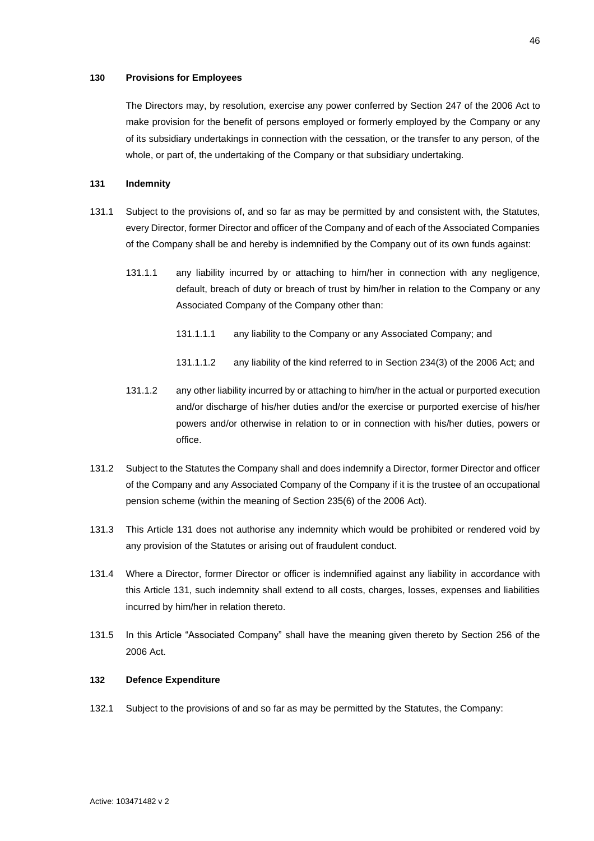# <span id="page-52-0"></span>**130 Provisions for Employees**

The Directors may, by resolution, exercise any power conferred by Section 247 of the 2006 Act to make provision for the benefit of persons employed or formerly employed by the Company or any of its subsidiary undertakings in connection with the cessation, or the transfer to any person, of the whole, or part of, the undertaking of the Company or that subsidiary undertaking.

### <span id="page-52-1"></span>**131 Indemnity**

- 131.1 Subject to the provisions of, and so far as may be permitted by and consistent with, the Statutes, every Director, former Director and officer of the Company and of each of the Associated Companies of the Company shall be and hereby is indemnified by the Company out of its own funds against:
	- 131.1.1 any liability incurred by or attaching to him/her in connection with any negligence, default, breach of duty or breach of trust by him/her in relation to the Company or any Associated Company of the Company other than:
		- 131.1.1.1 any liability to the Company or any Associated Company; and
		- 131.1.1.2 any liability of the kind referred to in Section 234(3) of the 2006 Act; and
	- 131.1.2 any other liability incurred by or attaching to him/her in the actual or purported execution and/or discharge of his/her duties and/or the exercise or purported exercise of his/her powers and/or otherwise in relation to or in connection with his/her duties, powers or office.
- 131.2 Subject to the Statutes the Company shall and does indemnify a Director, former Director and officer of the Company and any Associated Company of the Company if it is the trustee of an occupational pension scheme (within the meaning of Section 235(6) of the 2006 Act).
- 131.3 This Article [131](#page-52-1) does not authorise any indemnity which would be prohibited or rendered void by any provision of the Statutes or arising out of fraudulent conduct.
- 131.4 Where a Director, former Director or officer is indemnified against any liability in accordance with this Article [131,](#page-52-1) such indemnity shall extend to all costs, charges, losses, expenses and liabilities incurred by him/her in relation thereto.
- 131.5 In this Article "Associated Company" shall have the meaning given thereto by Section 256 of the 2006 Act.

# <span id="page-52-2"></span>**132 Defence Expenditure**

132.1 Subject to the provisions of and so far as may be permitted by the Statutes, the Company: